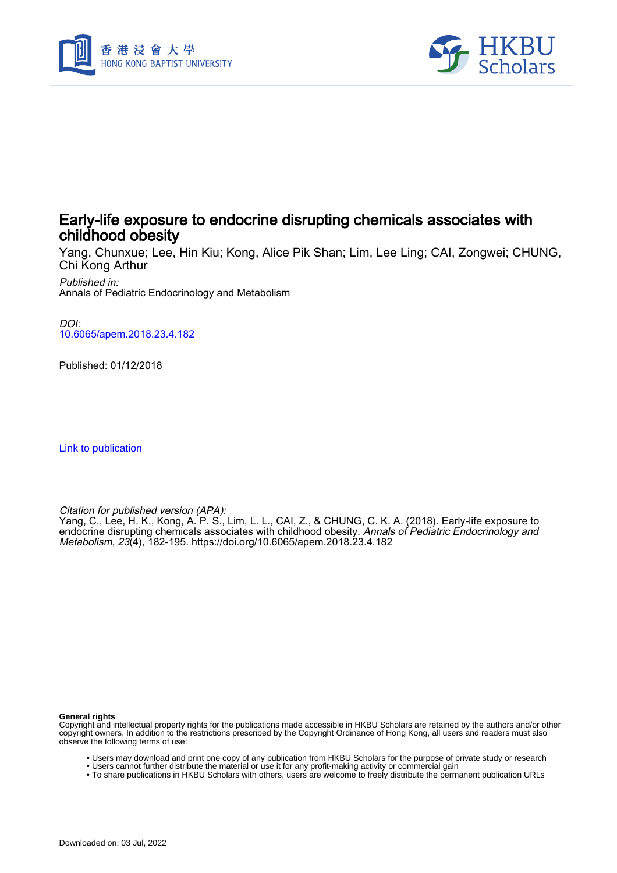



# Early-life exposure to endocrine disrupting chemicals associates with childhood obesity

Yang, Chunxue; Lee, Hin Kiu; Kong, Alice Pik Shan; Lim, Lee Ling; CAI, Zongwei; CHUNG, Chi Kong Arthur

Published in: Annals of Pediatric Endocrinology and Metabolism

DOI: [10.6065/apem.2018.23.4.182](https://doi.org/10.6065/apem.2018.23.4.182)

Published: 01/12/2018

[Link to publication](https://scholars.hkbu.edu.hk/en/publications/8f5b1211-fd60-43b2-9e9a-66bdbf6ccd3c)

Citation for published version (APA):

Yang, C., Lee, H. K., Kong, A. P. S., Lim, L. L., CAI, Z., & CHUNG, C. K. A. (2018). Early-life exposure to endocrine disrupting chemicals associates with childhood obesity. *Annals of Pediatric Endocrinology and* Metabolism, 23(4), 182-195. <https://doi.org/10.6065/apem.2018.23.4.182>

**General rights**

Copyright and intellectual property rights for the publications made accessible in HKBU Scholars are retained by the authors and/or other copyright owners. In addition to the restrictions prescribed by the Copyright Ordinance of Hong Kong, all users and readers must also observe the following terms of use:

- Users may download and print one copy of any publication from HKBU Scholars for the purpose of private study or research
- Users cannot further distribute the material or use it for any profit-making activity or commercial gain
- To share publications in HKBU Scholars with others, users are welcome to freely distribute the permanent publication URLs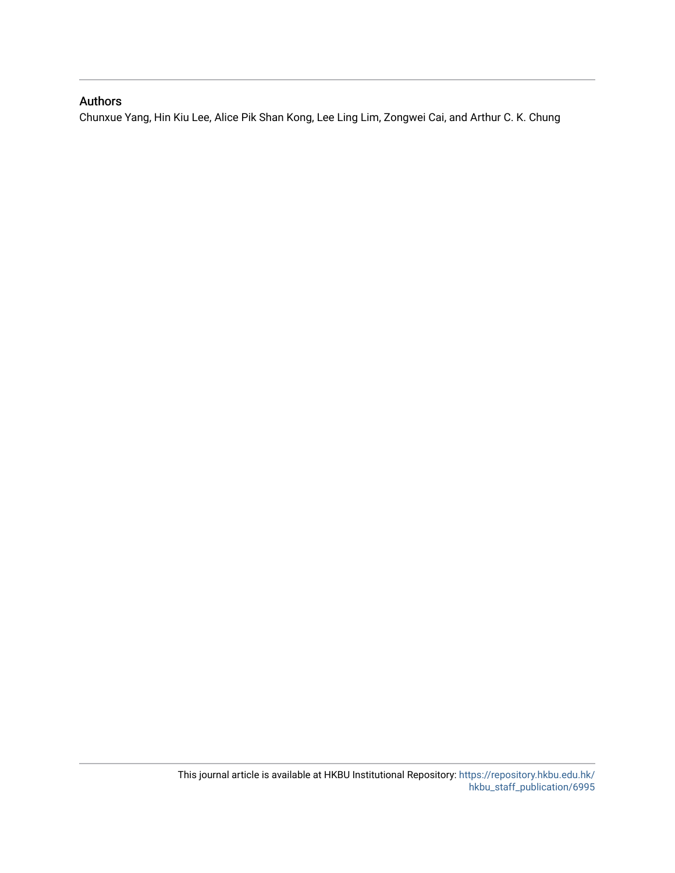# Authors

Chunxue Yang, Hin Kiu Lee, Alice Pik Shan Kong, Lee Ling Lim, Zongwei Cai, and Arthur C. K. Chung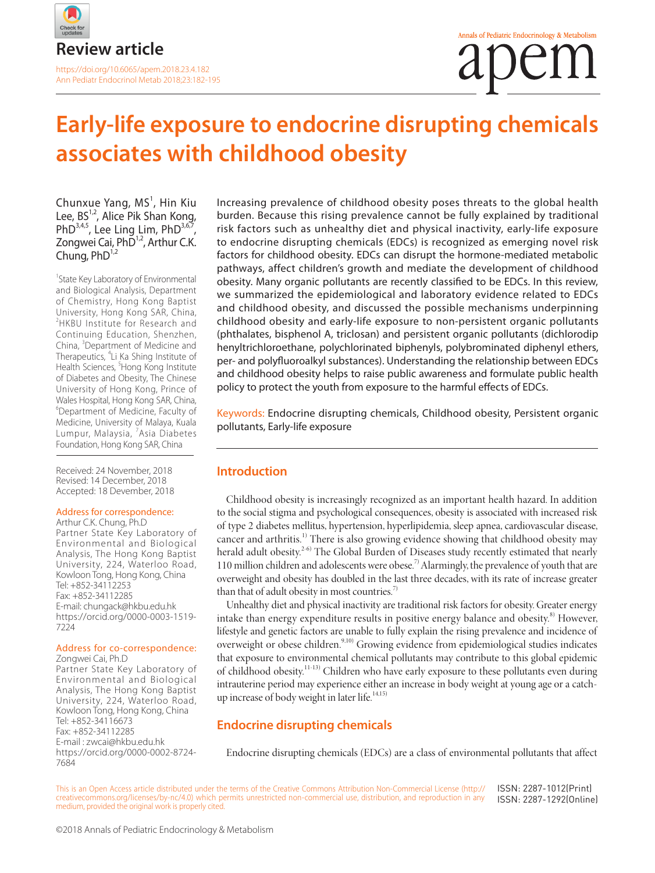

# **Early-life exposure to endocrine disrupting chemicals associates with childhood obesity**

Chunxue Yang, MS<sup>1</sup>, Hin Kiu Lee,  $BS^{1,2}$ , Alice Pik Shan Kong, PhD $^{3,4,5}$ , Lee Ling Lim, PhD $^{3,6,7}$ , Zongwei Cai, PhD<sup>1,2</sup>, Arthur C.K. Chung, PhD<sup>1,2</sup>

<sup>1</sup> State Key Laboratory of Environmental and Biological Analysis, Department of Chemistry, Hong Kong Baptist University, Hong Kong SAR, China, 2 HKBU Institute for Research and Continuing Education, Shenzhen, China, <sup>3</sup>Department of Medicine and Therapeutics, <sup>4</sup>Li Ka Shing Institute of Health Sciences, <sup>5</sup>Hong Kong Institute of Diabetes and Obesity, The Chinese University of Hong Kong, Prince of Wales Hospital, Hong Kong SAR, China, 6 Department of Medicine, Faculty of Medicine, University of Malaya, Kuala Lumpur, Malaysia, <sup>7</sup>Asia Diabetes Foundation, Hong Kong SAR, China

Received: 24 November, 2018 Revised: 14 December, 2018 Accepted: 18 Devember, 2018

#### Address for correspondence:

Arthur C.K. Chung, Ph.D Partner State Key Laboratory of Environmental and Biological Analysis, The Hong Kong Baptist University, 224, Waterloo Road, Kowloon Tong, Hong Kong, China Tel: +852-34112253 Fax: +852-34112285 E-mail: chungack@hkbu.edu.hk https://orcid.org/0000-0003-1519- 7224

#### Address for co-correspondence:

Zongwei Cai, Ph.D Partner State Key Laboratory of Environmental and Biological Analysis, The Hong Kong Baptist University, 224, Waterloo Road, Kowloon Tong, Hong Kong, China Tel: +852-34116673 Fax: +852-34112285 E-mail : zwcai@hkbu.edu.hk https://orcid.org/0000-0002-8724- 7684

Increasing prevalence of childhood obesity poses threats to the global health burden. Because this rising prevalence cannot be fully explained by traditional risk factors such as unhealthy diet and physical inactivity, early-life exposure to endocrine disrupting chemicals (EDCs) is recognized as emerging novel risk factors for childhood obesity. EDCs can disrupt the hormone-mediated metabolic pathways, affect children's growth and mediate the development of childhood obesity. Many organic pollutants are recently classified to be EDCs. In this review, we summarized the epidemiological and laboratory evidence related to EDCs and childhood obesity, and discussed the possible mechanisms underpinning childhood obesity and early-life exposure to non-persistent organic pollutants (phthalates, bisphenol A, triclosan) and persistent organic pollutants (dichlorodip henyltrichloroethane, polychlorinated biphenyls, polybrominated diphenyl ethers, per- and polyfluoroalkyl substances). Understanding the relationship between EDCs and childhood obesity helps to raise public awareness and formulate public health policy to protect the youth from exposure to the harmful effects of EDCs.

Keywords: Endocrine disrupting chemicals, Childhood obesity, Persistent organic pollutants, Early-life exposure

#### **Introduction**

Childhood obesity is increasingly recognized as an important health hazard. In addition to the social stigma and psychological consequences, obesity is associated with increased risk of type 2 diabetes mellitus, hypertension, hyperlipidemia, sleep apnea, cardiovascular disease, cancer and arthritis.<sup>1)</sup> There is also growing evidence showing that childhood obesity may herald adult obesity.<sup>2-6)</sup> The Global Burden of Diseases study recently estimated that nearly 110 million children and adolescents were obese.<sup>7)</sup> Alarmingly, the prevalence of youth that are overweight and obesity has doubled in the last three decades, with its rate of increase greater than that of adult obesity in most countries.<sup>7)</sup>

Unhealthy diet and physical inactivity are traditional risk factors for obesity. Greater energy intake than energy expenditure results in positive energy balance and obesity.<sup>8)</sup> However, lifestyle and genetic factors are unable to fully explain the rising prevalence and incidence of overweight or obese children.<sup>9,10)</sup> Growing evidence from epidemiological studies indicates that exposure to environmental chemical pollutants may contribute to this global epidemic of childhood obesity.11-13) Children who have early exposure to these pollutants even during intrauterine period may experience either an increase in body weight at young age or a catchup increase of body weight in later life.<sup>14,15)</sup>

# **Endocrine disrupting chemicals**

Endocrine disrupting chemicals (EDCs) are a class of environmental pollutants that affect

This is an Open Access article distributed under the terms of the Creative Commons Attribution Non-Commercial License (http:// creativecommons.org/licenses/by-nc/4.0) which permits unrestricted non-commercial use, distribution, and reproduction in any medium, provided the original work is properly cited. ISSN: 2287-1012(Print) ISSN: 2287-1292(Online)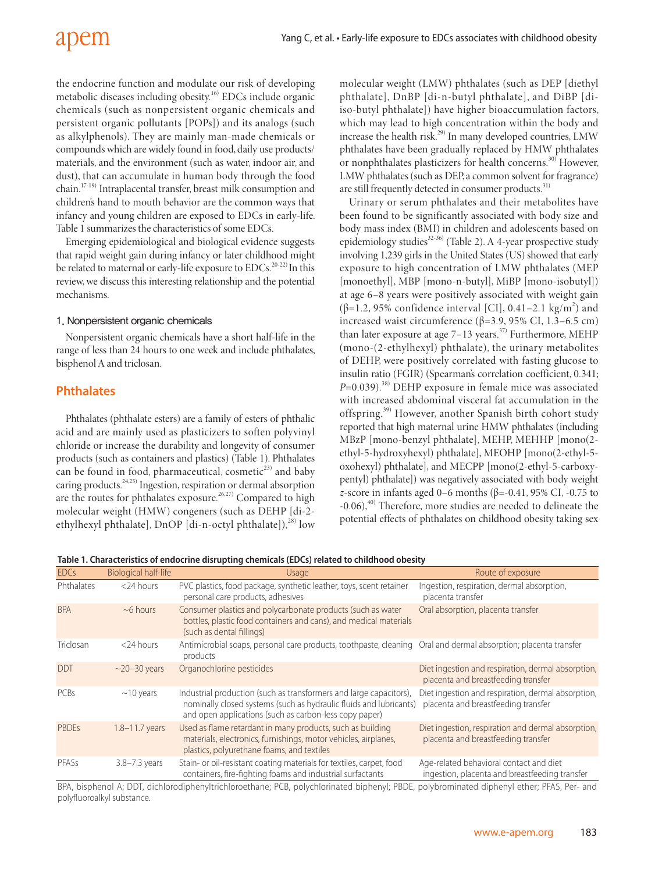the endocrine function and modulate our risk of developing metabolic diseases including obesity.<sup>16)</sup> EDCs include organic chemicals (such as nonpersistent organic chemicals and persistent organic pollutants [POPs]) and its analogs (such as alkylphenols). They are mainly man-made chemicals or compounds which are widely found in food, daily use products/ materials, and the environment (such as water, indoor air, and dust), that can accumulate in human body through the food chain.17-19) Intraplacental transfer, breast milk consumption and children's hand to mouth behavior are the common ways that infancy and young children are exposed to EDCs in early-life. Table 1 summarizes the characteristics of some EDCs.

Emerging epidemiological and biological evidence suggests that rapid weight gain during infancy or later childhood might be related to maternal or early-life exposure to EDCs.<sup>20-22)</sup> In this review, we discuss this interesting relationship and the potential mechanisms.

#### 1. Nonpersistent organic chemicals

Nonpersistent organic chemicals have a short half-life in the range of less than 24 hours to one week and include phthalates, bisphenol A and triclosan.

# **Phthalates**

Phthalates (phthalate esters) are a family of esters of phthalic acid and are mainly used as plasticizers to soften polyvinyl chloride or increase the durability and longevity of consumer products (such as containers and plastics) (Table 1). Phthalates can be found in food, pharmaceutical, cosmetic<sup>23)</sup> and baby caring products.24,25) Ingestion, respiration or dermal absorption are the routes for phthalates exposure.<sup>26,27)</sup> Compared to high molecular weight (HMW) congeners (such as DEHP [di-2 ethylhexyl phthalate], DnOP [di-n-octyl phthalate]), $^{28}$  low

molecular weight (LMW) phthalates (such as DEP [diethyl phthalate], DnBP [di-n-butyl phthalate], and DiBP [diiso-butyl phthalate]) have higher bioaccumulation factors, which may lead to high concentration within the body and increase the health risk.<sup>29)</sup> In many developed countries, LMW phthalates have been gradually replaced by HMW phthalates or nonphthalates plasticizers for health concerns.<sup>30)</sup> However, LMW phthalates (such as DEP, a common solvent for fragrance) are still frequently detected in consumer products.<sup>31)</sup>

Urinary or serum phthalates and their metabolites have been found to be significantly associated with body size and body mass index (BMI) in children and adolescents based on epidemiology studies<sup>32-36)</sup> (Table 2). A 4-year prospective study involving 1,239 girls in the United States (US) showed that early exposure to high concentration of LMW phthalates (MEP [monoethyl], MBP [mono-n-butyl], MiBP [mono-isobutyl]) at age 6–8 years were positively associated with weight gain ( $\beta$ =1.2, 95% confidence interval [CI], 0.41–2.1 kg/m<sup>2</sup>) and increased waist circumference (β=3.9, 95% CI, 1.3–6.5 cm) than later exposure at age  $7-13$  years.<sup>37)</sup> Furthermore, MEHP (mono-(2-ethylhexyl) phthalate), the urinary metabolites of DEHP, were positively correlated with fasting glucose to insulin ratio (FGIR) (Spearman's correlation coefficient, 0.341; *P*=0.039).<sup>38)</sup> DEHP exposure in female mice was associated with increased abdominal visceral fat accumulation in the offspring.39) However, another Spanish birth cohort study reported that high maternal urine HMW phthalates (including MBzP [mono-benzyl phthalate], MEHP, MEHHP [mono(2 ethyl-5-hydroxyhexyl) phthalate], MEOHP [mono(2-ethyl-5 oxohexyl) phthalate], and MECPP [mono(2-ethyl-5-carboxypentyl) phthalate]) was negatively associated with body weight *z*-score in infants aged 0–6 months (β=-0.41, 95% CI, -0.75 to -0.06),<sup>40)</sup> Therefore, more studies are needed to delineate the potential effects of phthalates on childhood obesity taking sex

**Table 1. Characteristics of endocrine disrupting chemicals (EDCs) related to childhood obesity**

| <b>EDCs</b>  | <b>Biological half-life</b> | Usage                                                                                                                                                                                              | Route of exposure                                                                         |
|--------------|-----------------------------|----------------------------------------------------------------------------------------------------------------------------------------------------------------------------------------------------|-------------------------------------------------------------------------------------------|
| Phthalates   | $<$ 24 hours                | PVC plastics, food package, synthetic leather, toys, scent retainer<br>personal care products, adhesives                                                                                           | Ingestion, respiration, dermal absorption,<br>placenta transfer                           |
| <b>BPA</b>   | $~6$ hours                  | Consumer plastics and polycarbonate products (such as water<br>bottles, plastic food containers and cans), and medical materials<br>(such as dental fillings)                                      | Oral absorption, placenta transfer                                                        |
| Triclosan    | $<$ 24 hours                | Antimicrobial soaps, personal care products, toothpaste, cleaning Oral and dermal absorption; placenta transfer<br>products                                                                        |                                                                                           |
| <b>DDT</b>   | $\sim$ 20-30 years          | Organochlorine pesticides                                                                                                                                                                          | Diet ingestion and respiration, dermal absorption,<br>placenta and breastfeeding transfer |
| <b>PCBs</b>  | $\sim$ 10 years             | Industrial production (such as transformers and large capacitors),<br>nominally closed systems (such as hydraulic fluids and lubricants)<br>and open applications (such as carbon-less copy paper) | Diet ingestion and respiration, dermal absorption,<br>placenta and breastfeeding transfer |
| <b>PBDEs</b> | 1.8-11.7 years              | Used as flame retardant in many products, such as building<br>materials, electronics, furnishings, motor vehicles, airplanes,<br>plastics, polyurethane foams, and textiles                        | Diet ingestion, respiration and dermal absorption,<br>placenta and breastfeeding transfer |
| PFASs        | $3.8 - 7.3$ years           | Stain- or oil-resistant coating materials for textiles, carpet, food<br>containers, fire-fighting foams and industrial surfactants                                                                 | Age-related behavioral contact and diet<br>ingestion, placenta and breastfeeding transfer |

BPA, bisphenol A; DDT, dichlorodiphenyltrichloroethane; PCB, polychlorinated biphenyl; PBDE, polybrominated diphenyl ether; PFAS, Per- and polyfluoroalkyl substance.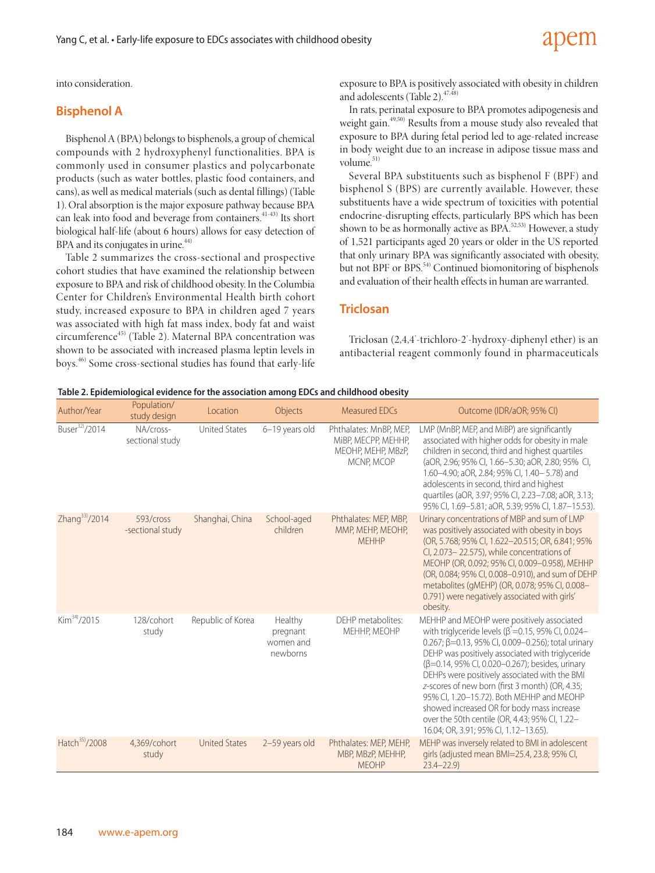into consideration.

### **Bisphenol A**

Bisphenol A (BPA) belongs to bisphenols, a group of chemical compounds with 2 hydroxyphenyl functionalities. BPA is commonly used in consumer plastics and polycarbonate products (such as water bottles, plastic food containers, and cans), as well as medical materials (such as dental fillings) (Table 1). Oral absorption is the major exposure pathway because BPA can leak into food and beverage from containers.<sup>41-43)</sup> Its short biological half-life (about 6 hours) allows for easy detection of BPA and its conjugates in urine. $44$ )

Table 2 summarizes the cross-sectional and prospective cohort studies that have examined the relationship between exposure to BPA and risk of childhood obesity. In the Columbia Center for Children's Environmental Health birth cohort study, increased exposure to BPA in children aged 7 years was associated with high fat mass index, body fat and waist circumference<sup>45)</sup> (Table 2). Maternal BPA concentration was shown to be associated with increased plasma leptin levels in boys.46) Some cross-sectional studies has found that early-life

exposure to BPA is positively associated with obesity in children and adolescents (Table 2).<sup>47,48)</sup>

apem

In rats, perinatal exposure to BPA promotes adipogenesis and weight gain.<sup>49,50)</sup> Results from a mouse study also revealed that exposure to BPA during fetal period led to age-related increase in body weight due to an increase in adipose tissue mass and volume. $51)$ 

Several BPA substituents such as bisphenol F (BPF) and bisphenol S (BPS) are currently available. However, these substituents have a wide spectrum of toxicities with potential endocrine-disrupting effects, particularly BPS which has been shown to be as hormonally active as BPA.<sup>52,53)</sup> However, a study of 1,521 participants aged 20 years or older in the US reported that only urinary BPA was significantly associated with obesity, but not BPF or BPS.<sup>54)</sup> Continued biomonitoring of bisphenols and evaluation of their health effects in human are warranted.

#### **Triclosan**

Triclosan (2,4,4'-trichloro-2'-hydroxy-diphenyl ether) is an antibacterial reagent commonly found in pharmaceuticals

#### **Table 2. Epidemiological evidence for the association among EDCs and childhood obesity**

| Author/Year                | Population/<br>study design   | Location             | Objects                                      | Measured EDCs                                                                     | Outcome (IDR/aOR; 95% CI)                                                                                                                                                                                                                                                                                                                                                                                                                                                                                                                                              |
|----------------------------|-------------------------------|----------------------|----------------------------------------------|-----------------------------------------------------------------------------------|------------------------------------------------------------------------------------------------------------------------------------------------------------------------------------------------------------------------------------------------------------------------------------------------------------------------------------------------------------------------------------------------------------------------------------------------------------------------------------------------------------------------------------------------------------------------|
| Buser <sup>32)</sup> /2014 | NA/cross-<br>sectional study  | <b>United States</b> | 6-19 years old                               | Phthalates: MnBP, MEP,<br>MIBP, MECPP, MEHHP,<br>MEOHP, MEHP, MBzP,<br>MCNP. MCOP | LMP (MnBP, MEP, and MiBP) are significantly<br>associated with higher odds for obesity in male<br>children in second, third and highest quartiles<br>(aOR, 2.96; 95% CI, 1.66-5.30; aOR, 2.80; 95% CI,<br>1.60-4.90; aOR, 2.84; 95% CI, 1.40-5.78) and<br>adolescents in second, third and highest<br>quartiles (aOR, 3.97; 95% CI, 2.23-7.08; aOR, 3.13;<br>95% CI, 1.69-5.81; aOR, 5.39; 95% CI, 1.87-15.53).                                                                                                                                                        |
| Zhang <sup>33</sup> /2014  | 593/cross<br>-sectional study | Shanghai, China      | School-aged<br>children                      | Phthalates: MEP, MBP,<br>MMP, MEHP, MEOHP,<br><b>MFHHP</b>                        | Urinary concentrations of MBP and sum of LMP<br>was positively associated with obesity in boys<br>(OR, 5.768; 95% CI, 1.622-20.515; OR, 6.841; 95%<br>Cl, 2.073-22.575), while concentrations of<br>MEOHP (OR, 0.092; 95% CI, 0.009-0.958), MEHHP<br>(OR, 0.084; 95% CI, 0.008-0.910), and sum of DEHP<br>metabolites (gMEHP) (OR, 0.078; 95% CI, 0.008-<br>0.791) were negatively associated with girls'<br>obesity.                                                                                                                                                  |
| Kim <sup>34</sup> /2015    | 128/cohort<br>study           | Republic of Korea    | Healthy<br>pregnant<br>women and<br>newborns | DEHP metabolites:<br>MEHHP, MEOHP                                                 | MEHHP and MEOHP were positively associated<br>with triglyceride levels ( $\beta^*$ =0.15, 95% CI, 0.024–<br>0.267; $\beta$ =0.13, 95% CI, 0.009-0.256); total urinary<br>DEHP was positively associated with triglyceride<br>(β=0.14, 95% CI, 0.020-0.267); besides, urinary<br>DEHPs were positively associated with the BMI<br>z-scores of new born (first 3 month) (OR, 4.35;<br>95% Cl, 1.20-15.72). Both MEHHP and MEOHP<br>showed increased OR for body mass increase<br>over the 50th centile (OR, 4.43; 95% CI, 1.22-<br>16.04; OR, 3.91; 95% CI, 1.12-13.65). |
| Hatch <sup>35)</sup> /2008 | 4.369/cohort<br>study         | <b>United States</b> | 2-59 years old                               | Phthalates: MEP, MEHP,<br>MBP, MBzP, MEHHP,<br><b>MEOHP</b>                       | MEHP was inversely related to BMI in adolescent<br>girls (adjusted mean BMI=25.4, 23.8; 95% CI,<br>$23.4 - 22.9$                                                                                                                                                                                                                                                                                                                                                                                                                                                       |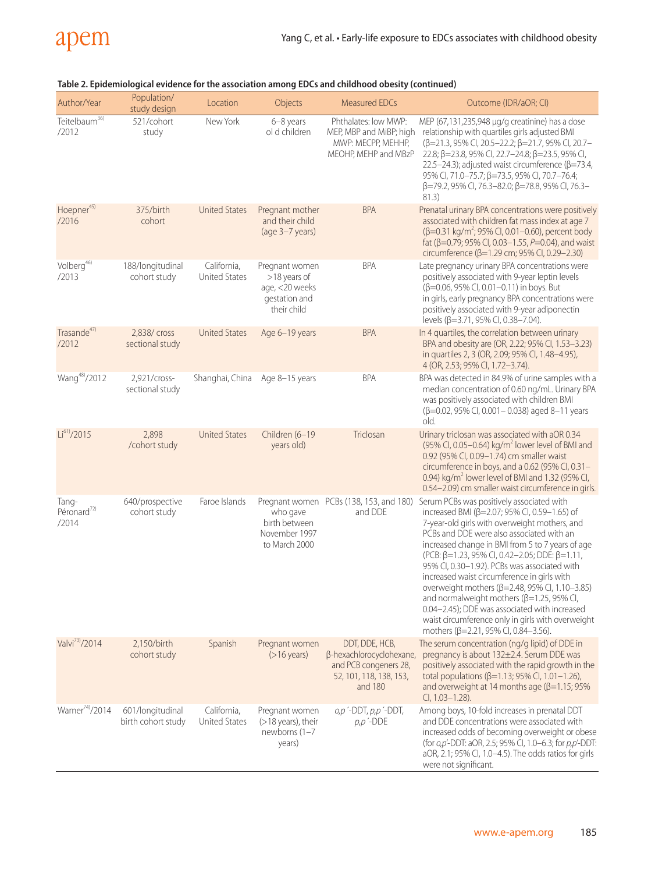

| Author/Year                               | Population/<br>study design            | Location                            | Objects                                                                          | <b>Measured EDCs</b>                                                                                      | Outcome (IDR/aOR; CI)                                                                                                                                                                                                                                                                                                                                                                                                                                                                                                                                                                                                                                                                      |
|-------------------------------------------|----------------------------------------|-------------------------------------|----------------------------------------------------------------------------------|-----------------------------------------------------------------------------------------------------------|--------------------------------------------------------------------------------------------------------------------------------------------------------------------------------------------------------------------------------------------------------------------------------------------------------------------------------------------------------------------------------------------------------------------------------------------------------------------------------------------------------------------------------------------------------------------------------------------------------------------------------------------------------------------------------------------|
| Teitelbaum <sup>36)</sup><br>/2012        | 521/cohort<br>study                    | New York                            | 6-8 years<br>ol d children                                                       | Phthalates: low MWP:<br>MEP, MBP and MiBP; high<br>MWP: MECPP, MEHHP,<br>MEOHP, MEHP and MBzP             | MEP (67,131,235,948 µg/g creatinine) has a dose<br>relationship with quartiles girls adjusted BMI<br>(β=21.3, 95% CI, 20.5-22.2; β=21.7, 95% CI, 20.7-<br>22.8; β=23.8, 95% CI, 22.7-24.8; β=23.5, 95% CI,<br>22.5–24.3); adjusted waist circumference ( $\beta$ =73.4,<br>95% CI, 71.0-75.7; β=73.5, 95% CI, 70.7-76.4;<br>β=79.2, 95% CI, 76.3-82.0; β=78.8, 95% CI, 76.3-<br>81.3)                                                                                                                                                                                                                                                                                                      |
| Hoepner <sup>45)</sup><br>/2016           | 375/birth<br>cohort                    | <b>United States</b>                | Pregnant mother<br>and their child<br>(age 3-7 years)                            | <b>BPA</b>                                                                                                | Prenatal urinary BPA concentrations were positively<br>associated with children fat mass index at age 7<br>$(\beta=0.31 \text{ kg/m}^2; 95\% \text{ Cl}, 0.01-0.60)$ , percent body<br>fat (β=0.79; 95% CI, 0.03-1.55, P=0.04), and waist<br>circumference (β=1.29 cm; 95% CI, 0.29-2.30)                                                                                                                                                                                                                                                                                                                                                                                                  |
| Volberg <sup>46)</sup><br>/2013           | 188/longitudinal<br>cohort study       | California,<br>United States        | Pregnant women<br>>18 years of<br>age, <20 weeks<br>gestation and<br>their child | <b>BPA</b>                                                                                                | Late pregnancy urinary BPA concentrations were<br>positively associated with 9-year leptin levels<br>(β=0.06, 95% CI, 0.01-0.11) in boys. But<br>in girls, early pregnancy BPA concentrations were<br>positively associated with 9-year adiponectin<br>levels (β=3.71, 95% CI, 0.38-7.04).                                                                                                                                                                                                                                                                                                                                                                                                 |
| Trasande <sup>47)</sup><br>/2012          | 2,838/ cross<br>sectional study        | <b>United States</b>                | Age 6-19 years                                                                   | <b>BPA</b>                                                                                                | In 4 quartiles, the correlation between urinary<br>BPA and obesity are (OR, 2.22; 95% CI, 1.53-3.23)<br>in quartiles 2, 3 (OR, 2.09; 95% CI, 1.48-4.95),<br>4 (OR, 2.53; 95% CI, 1.72-3.74).                                                                                                                                                                                                                                                                                                                                                                                                                                                                                               |
| Wang <sup>48)</sup> /2012                 | 2,921/cross-<br>sectional study        | Shanghai, China                     | Age 8-15 years                                                                   | <b>BPA</b>                                                                                                | BPA was detected in 84.9% of urine samples with a<br>median concentration of 0.60 ng/mL. Urinary BPA<br>was positively associated with children BMI<br>$(\beta=0.02, 95\% \text{ C}I, 0.001-0.038)$ aged 8-11 years<br>old.                                                                                                                                                                                                                                                                                                                                                                                                                                                                |
| Li <sup>61</sup> /2015                    | 2,898<br>/cohort study                 | <b>United States</b>                | Children (6-19<br>years old)                                                     | Triclosan                                                                                                 | Urinary triclosan was associated with aOR 0.34<br>(95% CI, 0.05-0.64) kg/m <sup>2</sup> lower level of BMI and<br>0.92 (95% CI, 0.09-1.74) cm smaller waist<br>circumference in boys, and a 0.62 (95% CI, 0.31-<br>0.94) kg/m <sup>2</sup> lower level of BMI and 1.32 (95% CI,<br>0.54-2.09) cm smaller waist circumference in girls.                                                                                                                                                                                                                                                                                                                                                     |
| Tang-<br>Péronard <sup>72)</sup><br>/2014 | 640/prospective<br>cohort study        | Faroe Islands                       | who gave<br>birth between<br>November 1997<br>to March 2000                      | Pregnant women PCBs (138, 153, and 180)<br>and DDE                                                        | Serum PCBs was positively associated with<br>increased BMI ( $\beta$ =2.07; 95% CI, 0.59-1.65) of<br>7-year-old girls with overweight mothers, and<br>PCBs and DDE were also associated with an<br>increased change in BMI from 5 to 7 years of age<br>$(PCB: \beta=1.23, 95\% \text{ C}I, 0.42-2.05; \text{DDE}: \beta=1.11,$<br>95% CI, 0.30-1.92). PCBs was associated with<br>increased waist circumference in girls with<br>overweight mothers (β=2.48, 95% CI, 1.10-3.85)<br>and normalweight mothers ( $\beta$ =1.25, 95% CI,<br>0.04-2.45); DDE was associated with increased<br>waist circumference only in girls with overweight<br>mothers ( $\beta$ =2.21, 95% CI, 0.84-3.56). |
| Valvi <sup>73</sup> /2014                 | 2,150/birth<br>cohort study            | Spanish                             | Pregnant women<br>$($ >16 years)                                                 | DDT, DDE, HCB,<br>β-hexachlorocyclohexane,<br>and PCB congeners 28,<br>52, 101, 118, 138, 153,<br>and 180 | The serum concentration (ng/g lipid) of DDE in<br>pregnancy is about 132±2.4. Serum DDE was<br>positively associated with the rapid growth in the<br>total populations ( $\beta$ =1.13; 95% CI, 1.01-1.26),<br>and overweight at 14 months age ( $\beta$ =1.15; 95%<br>Cl, 1.03-1.28).                                                                                                                                                                                                                                                                                                                                                                                                     |
| Warner <sup>74</sup> /2014                | 601/longitudinal<br>birth cohort study | California,<br><b>United States</b> | Pregnant women<br>$($ >18 years), their<br>newborns $(1-7)$<br>years)            | $o, p'$ -DDT, $p, p'$ -DDT,<br>$p, p$ -DDE                                                                | Among boys, 10-fold increases in prenatal DDT<br>and DDE concentrations were associated with<br>increased odds of becoming overweight or obese<br>(for o,p'-DDT: aOR, 2.5; 95% CI, 1.0-6.3; for p,p'-DDT:<br>aOR, 2.1; 95% CI, 1.0-4.5). The odds ratios for girls<br>were not significant.                                                                                                                                                                                                                                                                                                                                                                                                |

### **Table 2. Epidemiological evidence for the association among EDCs and childhood obesity (continued)**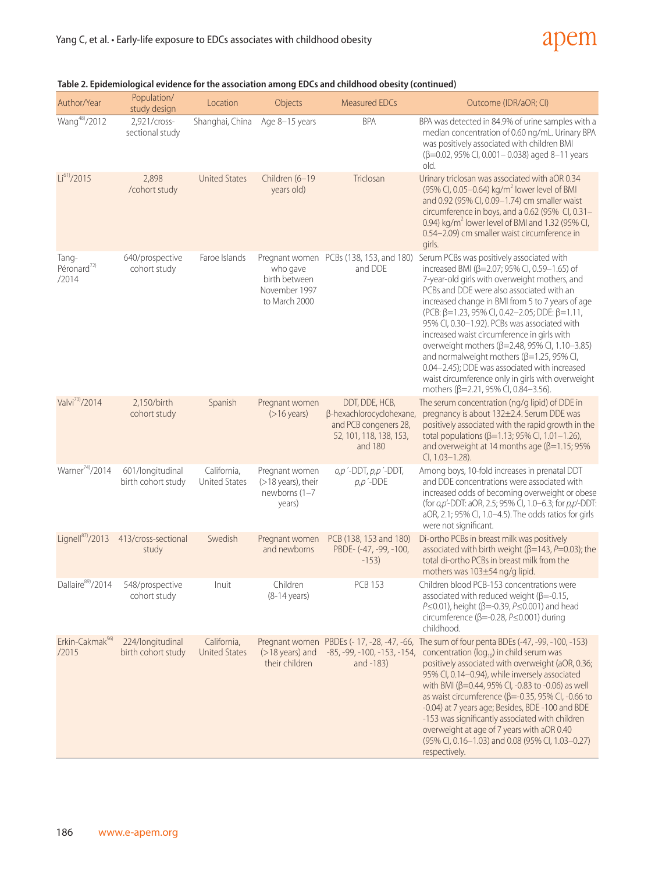# apem

| Author/Year                               | Population/<br>study design            | Location                            | Objects                                                            | <b>Measured EDCs</b>                                                                                      | Outcome (IDR/aOR; CI)                                                                                                                                                                                                                                                                                                                                                                                                                                                                                                                                                                                                                            |
|-------------------------------------------|----------------------------------------|-------------------------------------|--------------------------------------------------------------------|-----------------------------------------------------------------------------------------------------------|--------------------------------------------------------------------------------------------------------------------------------------------------------------------------------------------------------------------------------------------------------------------------------------------------------------------------------------------------------------------------------------------------------------------------------------------------------------------------------------------------------------------------------------------------------------------------------------------------------------------------------------------------|
| Wang <sup>48)</sup> /2012                 | 2,921/cross-<br>sectional study        | Shanghai, China                     | Age 8-15 years                                                     | <b>BPA</b>                                                                                                | BPA was detected in 84.9% of urine samples with a<br>median concentration of 0.60 ng/mL. Urinary BPA<br>was positively associated with children BMI<br>(β=0.02, 95% CI, 0.001-0.038) aged 8-11 years<br>old.                                                                                                                                                                                                                                                                                                                                                                                                                                     |
| Li <sup>61</sup> /2015                    | 2,898<br>/cohort study                 | <b>United States</b>                | Children (6-19<br>years old)                                       | Triclosan                                                                                                 | Urinary triclosan was associated with aOR 0.34<br>(95% CI, 0.05–0.64) kg/m <sup>2</sup> lower level of BMI<br>and 0.92 (95% CI, 0.09-1.74) cm smaller waist<br>circumference in boys, and a 0.62 (95% CI, 0.31-<br>0.94) kg/m <sup>2</sup> lower level of BMI and 1.32 (95% CI,<br>0.54-2.09) cm smaller waist circumference in<br>girls.                                                                                                                                                                                                                                                                                                        |
| Tang-<br>Péronard <sup>72)</sup><br>/2014 | 640/prospective<br>cohort study        | Faroe Islands                       | who gave<br>birth between<br>November 1997<br>to March 2000        | Pregnant women PCBs (138, 153, and 180)<br>and DDE                                                        | Serum PCBs was positively associated with<br>increased BMI (β=2.07; 95% CI, 0.59-1.65) of<br>7-year-old girls with overweight mothers, and<br>PCBs and DDE were also associated with an<br>increased change in BMI from 5 to 7 years of age<br>(PCB: β=1.23, 95% CI, 0.42-2.05; DDE: β=1.11,<br>95% CI, 0.30-1.92). PCBs was associated with<br>increased waist circumference in girls with<br>overweight mothers (β=2.48, 95% CI, 1.10-3.85)<br>and normalweight mothers ( $\beta$ =1.25, 95% CI,<br>0.04-2.45); DDE was associated with increased<br>waist circumference only in girls with overweight<br>mothers (β=2.21, 95% CI, 0.84-3.56). |
| Valvi <sup>73</sup> /2014                 | 2,150/birth<br>cohort study            | Spanish                             | Pregnant women<br>$($ >16 years)                                   | DDT, DDE, HCB,<br>β-hexachlorocyclohexane,<br>and PCB congeners 28,<br>52, 101, 118, 138, 153,<br>and 180 | The serum concentration (ng/g lipid) of DDE in<br>pregnancy is about 132±2.4. Serum DDE was<br>positively associated with the rapid growth in the<br>total populations (β=1.13; 95% CI, 1.01-1.26),<br>and overweight at 14 months age ( $\beta$ =1.15; 95%<br>$Cl, 1.03 - 1.28$ ).                                                                                                                                                                                                                                                                                                                                                              |
| Warner <sup>74)</sup> /2014               | 601/longitudinal<br>birth cohort study | California,<br><b>United States</b> | Pregnant women<br>$($ >18 years), their<br>newborns (1-7<br>years) | $o, p'$ -DDT, $p, p'$ -DDT,<br>$p, p \nightharpoonup$ DDE                                                 | Among boys, 10-fold increases in prenatal DDT<br>and DDE concentrations were associated with<br>increased odds of becoming overweight or obese<br>(for <i>o,p'</i> -DDT: aOR, 2.5; 95% CI, 1.0–6.3; for <i>p,p'</i> -DDT:<br>aOR, 2.1; 95% CI, 1.0-4.5). The odds ratios for girls<br>were not significant.                                                                                                                                                                                                                                                                                                                                      |
| Lignell $^{87/2013}$                      | 413/cross-sectional<br>study           | Swedish                             | Pregnant women<br>and newborns                                     | PCB (138, 153 and 180)<br>PBDE- (-47, -99, -100,<br>$-153)$                                               | Di-ortho PCBs in breast milk was positively<br>associated with birth weight ( $\beta$ =143, $P$ =0.03); the<br>total di-ortho PCBs in breast milk from the<br>mothers was 103±54 ng/g lipid.                                                                                                                                                                                                                                                                                                                                                                                                                                                     |
| Dallaire <sup>89</sup> /2014              | 548/prospective<br>cohort study        | Inuit                               | Children<br>$(8-14 \text{ years})$                                 | <b>PCB 153</b>                                                                                            | Children blood PCB-153 concentrations were<br>associated with reduced weight ( $\beta$ =-0.15,<br>$P \le 0.01$ ), height ( $\beta$ =-0.39, $P \le 0.001$ ) and head<br>circumference ( $\beta$ =-0.28, $P \le 0.001$ ) during<br>childhood.                                                                                                                                                                                                                                                                                                                                                                                                      |
| Erkin-Cakmak <sup>96)</sup><br>/2015      | 224/longitudinal<br>birth cohort study | California,<br><b>United States</b> | Pregnant women<br>$($ >18 years) and<br>their children             | PBDEs (- 17, -28, -47, -66,<br>$-85, -99, -100, -153, -154,$<br>and $-183$ )                              | The sum of four penta BDEs (-47, -99, -100, -153)<br>concentration ( $log_{10}$ ) in child serum was<br>positively associated with overweight (aOR, 0.36;<br>95% CI, 0.14-0.94), while inversely associated<br>with BMI (β=0.44, 95% CI, -0.83 to -0.06) as well<br>as waist circumference ( $\beta$ =-0.35, 95% CI, -0.66 to<br>-0.04) at 7 years age; Besides, BDE-100 and BDE<br>-153 was significantly associated with children<br>overweight at age of 7 years with aOR 0.40<br>(95% Cl, 0.16-1.03) and 0.08 (95% Cl, 1.03-0.27)<br>respectively.                                                                                           |

|  | (continued) Table miological evidence for the association among EDCs and childhood obesity |  |
|--|--------------------------------------------------------------------------------------------|--|
|  |                                                                                            |  |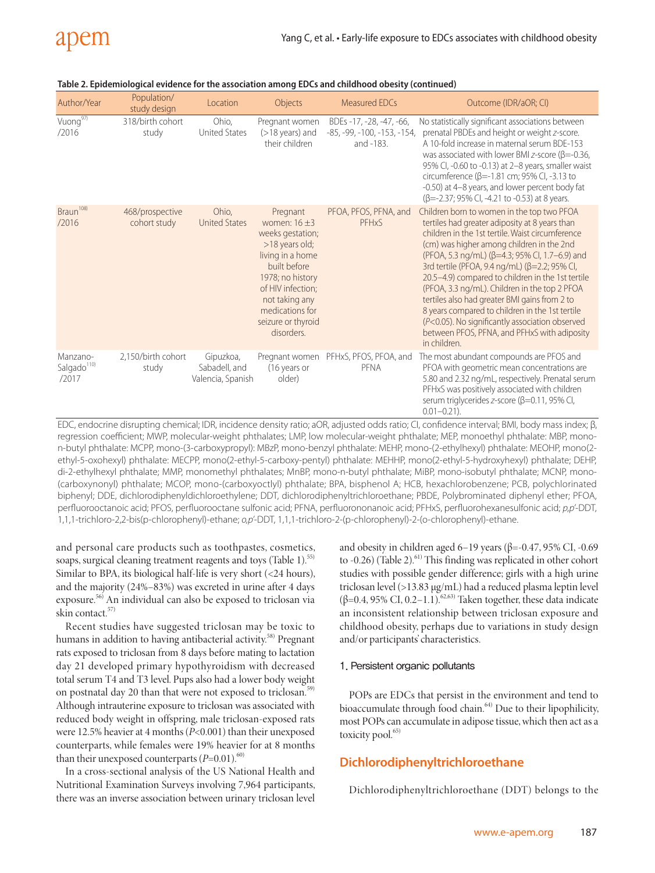| Author/Year                                  | Population/<br>study design     | Location                                        | Objects                                                                                                                                                                                                                 | Measured EDCs                                                          | Outcome (IDR/aOR; CI)                                                                                                                                                                                                                                                                                                                                                                                                                                                                                                                                                                                                         |
|----------------------------------------------|---------------------------------|-------------------------------------------------|-------------------------------------------------------------------------------------------------------------------------------------------------------------------------------------------------------------------------|------------------------------------------------------------------------|-------------------------------------------------------------------------------------------------------------------------------------------------------------------------------------------------------------------------------------------------------------------------------------------------------------------------------------------------------------------------------------------------------------------------------------------------------------------------------------------------------------------------------------------------------------------------------------------------------------------------------|
| Vuong <sup>97)</sup><br>/2016                | 318/birth cohort<br>study       | Ohio,<br><b>United States</b>                   | Pregnant women<br>$($ >18 years) and<br>their children                                                                                                                                                                  | BDEs -17, -28, -47, -66,<br>$-85, -99, -100, -153, -154,$<br>and -183. | No statistically significant associations between<br>prenatal PBDEs and height or weight z-score.<br>A 10-fold increase in maternal serum BDF-153<br>was associated with lower BMI z-score ( $\beta$ =-0.36,<br>95% Cl, -0.60 to -0.13) at 2-8 years, smaller waist<br>circumference ( $\beta$ =-1.81 cm; 95% CI, -3.13 to<br>-0.50) at 4-8 years, and lower percent body fat<br>$(\beta = -2.37; 95\% \text{ Cl}, -4.21 \text{ to } -0.53)$ at 8 years.                                                                                                                                                                      |
| Braun <sup>108)</sup><br>/2016               | 468/prospective<br>cohort study | Ohio.<br><b>United States</b>                   | Pregnant<br>women: $16 + 3$<br>weeks gestation;<br>>18 years old;<br>living in a home<br>built before<br>1978; no history<br>of HIV infection:<br>not taking any<br>medications for<br>seizure or thyroid<br>disorders. | PFOA, PFOS, PFNA, and<br>PFHxS                                         | Children born to women in the top two PFOA<br>tertiles had greater adiposity at 8 years than<br>children in the 1st tertile. Waist circumference<br>(cm) was higher among children in the 2nd<br>(PFOA, 5.3 ng/mL) (β=4.3; 95% CI, 1.7–6.9) and<br>3rd tertile (PFOA, 9.4 ng/mL) (β=2.2; 95% CI,<br>20.5-4.9) compared to children in the 1st tertile<br>(PFOA, 3.3 ng/mL). Children in the top 2 PFOA<br>tertiles also had greater BMI gains from 2 to<br>8 years compared to children in the 1st tertile<br>(P<0.05). No significantly association observed<br>between PFOS, PFNA, and PFHxS with adiposity<br>in children. |
| Manzano-<br>Salgado <sup>110)</sup><br>/2017 | 2.150/birth cohort<br>study     | Gipuzkoa,<br>Sabadell, and<br>Valencia, Spanish | Pregnant women<br>(16 years or<br>older)                                                                                                                                                                                | PFHxS, PFOS, PFOA, and<br>PFNA                                         | The most abundant compounds are PFOS and<br>PFOA with geometric mean concentrations are<br>5.80 and 2.32 ng/mL, respectively. Prenatal serum<br>PFHxS was positively associated with children<br>serum triglycerides z-score ( $\beta$ =0.11, 95% CI,<br>$0.01 - 0.21$ ).                                                                                                                                                                                                                                                                                                                                                     |

| Table 2. Epidemiological evidence for the association among EDCs and childhood obesity (continued) |  |
|----------------------------------------------------------------------------------------------------|--|
|                                                                                                    |  |

EDC, endocrine disrupting chemical; IDR, incidence density ratio; aOR, adjusted odds ratio; CI, confidence interval; BMI, body mass index; β, regression coefficient; MWP, molecular-weight phthalates; LMP, low molecular-weight phthalate; MEP, monoethyl phthalate: MBP, monon-butyl phthalate: MCPP, mono-(3-carboxypropyl): MBzP, mono-benzyl phthalate: MEHP, mono-(2-ethylhexyl) phthalate: MEOHP, mono(2 ethyl-5-oxohexyl) phthalate: MECPP, mono(2-ethyl-5-carboxy-pentyl) phthalate: MEHHP, mono(2-ethyl-5-hydroxyhexyl) phthalate; DEHP, di-2-ethylhexyl phthalate; MMP, monomethyl phthalates; MnBP, mono-n-butyl phthalate; MiBP, mono-isobutyl phthalate; MCNP, mono- (carboxynonyl) phthalate; MCOP, mono-(carboxyoctlyl) phthalate; BPA, bisphenol A; HCB, hexachlorobenzene; PCB, polychlorinated biphenyl; DDE, dichlorodiphenyldichloroethylene; DDT, dichlorodiphenyltrichloroethane; PBDE, Polybrominated diphenyl ether; PFOA, perfluorooctanoic acid; PFOS, perfluorooctane sulfonic acid; PFNA, perfluorononanoic acid; PFHxS, perfluorohexanesulfonic acid; *p,p'*-DDT, 1,1,1-trichloro-2,2-bis(p-chlorophenyl)-ethane; *o,p'*-DDT, 1,1,1-trichloro-2-(p-chlorophenyl)-2-(o-chlorophenyl)-ethane.

and personal care products such as toothpastes, cosmetics, soaps, surgical cleaning treatment reagents and toys (Table 1).<sup>55)</sup> Similar to BPA, its biological half-life is very short (<24 hours), and the majority (24%–83%) was excreted in urine after 4 days exposure.56) An individual can also be exposed to triclosan via skin contact.<sup>57)</sup>

Recent studies have suggested triclosan may be toxic to humans in addition to having antibacterial activity.<sup>58)</sup> Pregnant rats exposed to triclosan from 8 days before mating to lactation day 21 developed primary hypothyroidism with decreased total serum T4 and T3 level. Pups also had a lower body weight on postnatal day 20 than that were not exposed to triclosan.<sup>59)</sup> Although intrauterine exposure to triclosan was associated with reduced body weight in offspring, male triclosan-exposed rats were 12.5% heavier at 4 months (*P*<0.001) than their unexposed counterparts, while females were 19% heavier for at 8 months than their unexposed counterparts  $(P=0.01)$ .<sup>60)</sup>

In a cross-sectional analysis of the US National Health and Nutritional Examination Surveys involving 7,964 participants, there was an inverse association between urinary triclosan level and obesity in children aged 6–19 years ( $β = -0.47, 95%$  CI,  $-0.69$ to  $-0.26$ ) (Table 2).<sup>61)</sup> This finding was replicated in other cohort studies with possible gender difference; girls with a high urine triclosan level (>13.83 µg/mL) had a reduced plasma leptin level (β=0.4, 95% CI, 0.2–1.1).<sup>62,63)</sup> Taken together, these data indicate an inconsistent relationship between triclosan exposure and childhood obesity, perhaps due to variations in study design and/or participants' characteristics.

#### 1. Persistent organic pollutants

POPs are EDCs that persist in the environment and tend to bioaccumulate through food chain.<sup>64)</sup> Due to their lipophilicity, most POPs can accumulate in adipose tissue, which then act as a toxicity pool.<sup>65)</sup>

# **Dichlorodiphenyltrichloroethane**

Dichlorodiphenyltrichloroethane (DDT) belongs to the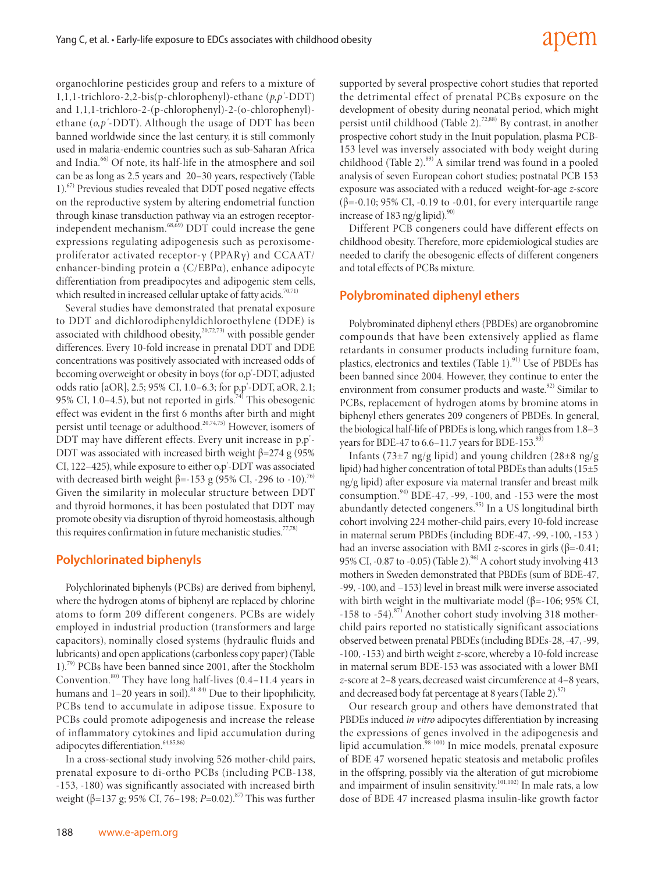# adem

organochlorine pesticides group and refers to a mixture of 1,1,1-trichloro-2,2-bis(p-chlorophenyl)-ethane (*p,p'*-DDT) and 1,1,1-trichloro-2-(p-chlorophenyl)-2-(o-chlorophenyl) ethane (*o,p'*-DDT). Although the usage of DDT has been banned worldwide since the last century, it is still commonly used in malaria-endemic countries such as sub-Saharan Africa and India.<sup>66)</sup> Of note, its half-life in the atmosphere and soil can be as long as 2.5 years and 20–30 years, respectively (Table 1).<sup>67)</sup> Previous studies revealed that DDT posed negative effects on the reproductive system by altering endometrial function through kinase transduction pathway via an estrogen receptorindependent mechanism.<sup>68,69)</sup> DDT could increase the gene expressions regulating adipogenesis such as peroxisomeproliferator activated receptor-γ (PPARγ) and CCAAT/ enhancer-binding protein α (C/EBPα), enhance adipocyte differentiation from preadipocytes and adipogenic stem cells, which resulted in increased cellular uptake of fatty acids.<sup>70,71)</sup>

Several studies have demonstrated that prenatal exposure to DDT and dichlorodiphenyldichloroethylene (DDE) is associated with childhood obesity,<sup>20,72,73)</sup> with possible gender differences. Every 10-fold increase in prenatal DDT and DDE concentrations was positively associated with increased odds of becoming overweight or obesity in boys (for o,p'-DDT, adjusted odds ratio [aOR], 2.5; 95% CI, 1.0–6.3; for p,p'-DDT, aOR, 2.1; 95% CI, 1.0–4.5), but not reported in girls.<sup>74)</sup> This obesogenic effect was evident in the first 6 months after birth and might persist until teenage or adulthood.<sup>20,74,75)</sup> However, isomers of DDT may have different effects. Every unit increase in p,p'- DDT was associated with increased birth weight  $β=274 g (95%$ CI, 122–425), while exposure to either o,p'-DDT was associated with decreased birth weight  $\beta$ =-153 g (95% CI, -296 to -10).<sup>76)</sup> Given the similarity in molecular structure between DDT and thyroid hormones, it has been postulated that DDT may promote obesity via disruption of thyroid homeostasis, although this requires confirmation in future mechanistic studies.<sup>77,78)</sup>

#### **Polychlorinated biphenyls**

Polychlorinated biphenyls (PCBs) are derived from biphenyl, where the hydrogen atoms of biphenyl are replaced by chlorine atoms to form 209 different congeners. PCBs are widely employed in industrial production (transformers and large capacitors), nominally closed systems (hydraulic fluids and lubricants) and open applications (carbonless copy paper) (Table 1).<sup>79)</sup> PCBs have been banned since 2001, after the Stockholm Convention. $80$ ) They have long half-lives (0.4–11.4 years in humans and  $1-20$  years in soil).<sup>81-84)</sup> Due to their lipophilicity, PCBs tend to accumulate in adipose tissue. Exposure to PCBs could promote adipogenesis and increase the release of inflammatory cytokines and lipid accumulation during adipocytes differentiation.<sup>64,85,86)</sup>

In a cross-sectional study involving 526 mother-child pairs, prenatal exposure to di-ortho PCBs (including PCB-138, -153, -180) was significantly associated with increased birth weight (β=137 g; 95% CI, 76–198; *P*=0.02).<sup>87)</sup> This was further

supported by several prospective cohort studies that reported the detrimental effect of prenatal PCBs exposure on the development of obesity during neonatal period, which might persist until childhood (Table 2).<sup>72,88)</sup> By contrast, in another prospective cohort study in the Inuit population, plasma PCB-153 level was inversely associated with body weight during childhood (Table 2).<sup>89)</sup> A similar trend was found in a pooled analysis of seven European cohort studies; postnatal PCB 153 exposure was associated with a reduced weight-for-age *z*-score ( $\beta$ =-0.10; 95% CI, -0.19 to -0.01, for every interquartile range increase of 183 ng/g lipid).<sup>90)</sup>

Different PCB congeners could have different effects on childhood obesity. Therefore, more epidemiological studies are needed to clarify the obesogenic effects of different congeners and total effects of PCBs mixture.

### **Polybrominated diphenyl ethers**

Polybrominated diphenyl ethers (PBDEs) are organobromine compounds that have been extensively applied as flame retardants in consumer products including furniture foam, plastics, electronics and textiles (Table 1). $91)$  Use of PBDEs has been banned since 2004. However, they continue to enter the environment from consumer products and waste.<sup>92)</sup> Similar to PCBs, replacement of hydrogen atoms by bromine atoms in biphenyl ethers generates 209 congeners of PBDEs. In general, the biological half-life of PBDEs is long, which ranges from 1.8–3 years for BDE-47 to  $6.6-11.7$  years for BDE-153.<sup>93</sup>

Infants (73 $\pm$ 7 ng/g lipid) and young children (28 $\pm$ 8 ng/g lipid) had higher concentration of total PBDEs than adults (15±5 ng/g lipid) after exposure via maternal transfer and breast milk consumption. $94$ <sup>24</sup>) BDE-47, -99, -100, and -153 were the most abundantly detected congeners.<sup>95)</sup> In a US longitudinal birth cohort involving 224 mother-child pairs, every 10-fold increase in maternal serum PBDEs (including BDE-47, -99, -100, -153 ) had an inverse association with BMI *z*-scores in girls (β=-0.41; 95% CI, -0.87 to -0.05) (Table 2). <sup>96</sup> A cohort study involving 413 mothers in Sweden demonstrated that PBDEs (sum of BDE-47, -99, -100, and −153) level in breast milk were inverse associated with birth weight in the multivariate model (β=-106; 95% CI,  $-158$  to  $-54$ ).<sup>87)</sup> Another cohort study involving 318 motherchild pairs reported no statistically significant associations observed between prenatal PBDEs (including BDEs-28, -47, -99, -100, -153) and birth weight *z*-score, whereby a 10-fold increase in maternal serum BDE-153 was associated with a lower BMI *z*-score at 2–8 years, decreased waist circumference at 4–8 years, and decreased body fat percentage at 8 years (Table 2). $\frac{97}{2}$ 

Our research group and others have demonstrated that PBDEs induced *in vitro* adipocytes differentiation by increasing the expressions of genes involved in the adipogenesis and lipid accumulation.<sup>98-100</sup> In mice models, prenatal exposure of BDE 47 worsened hepatic steatosis and metabolic profiles in the offspring, possibly via the alteration of gut microbiome and impairment of insulin sensitivity.<sup>101,102)</sup> In male rats, a low dose of BDE 47 increased plasma insulin-like growth factor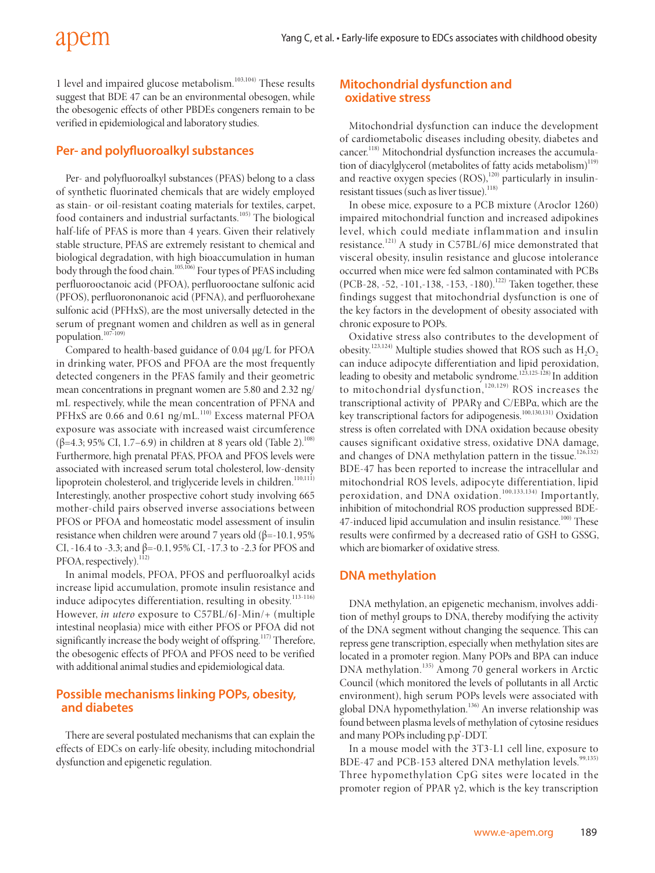1 level and impaired glucose metabolism.<sup>103,104)</sup> These results suggest that BDE 47 can be an environmental obesogen, while the obesogenic effects of other PBDEs congeners remain to be verified in epidemiological and laboratory studies.

# **Per- and polyfluoroalkyl substances**

Per- and polyfluoroalkyl substances (PFAS) belong to a class of synthetic fluorinated chemicals that are widely employed as stain- or oil-resistant coating materials for textiles, carpet, food containers and industrial surfactants.<sup>105)</sup> The biological half-life of PFAS is more than 4 years. Given their relatively stable structure, PFAS are extremely resistant to chemical and biological degradation, with high bioaccumulation in human body through the food chain.<sup>105,106)</sup> Four types of PFAS including perfluorooctanoic acid (PFOA), perfluorooctane sulfonic acid (PFOS), perfluorononanoic acid (PFNA), and perfluorohexane sulfonic acid (PFHxS), are the most universally detected in the serum of pregnant women and children as well as in general population.<sup>107-109)</sup>

Compared to health-based guidance of 0.04 µg/L for PFOA in drinking water, PFOS and PFOA are the most frequently detected congeners in the PFAS family and their geometric mean concentrations in pregnant women are 5.80 and 2.32 ng/ mL respectively, while the mean concentration of PFNA and PFHxS are  $0.66$  and  $0.61$  ng/mL.<sup>110)</sup> Excess maternal PFOA exposure was associate with increased waist circumference  $(β=4.3; 95% CI, 1.7–6.9)$  in children at 8 years old (Table 2).<sup>108)</sup> Furthermore, high prenatal PFAS, PFOA and PFOS levels were associated with increased serum total cholesterol, low-density lipoprotein cholesterol, and triglyceride levels in children.<sup>110,111</sup>) Interestingly, another prospective cohort study involving 665 mother-child pairs observed inverse associations between PFOS or PFOA and homeostatic model assessment of insulin resistance when children were around 7 years old  $(\beta = -10.1, 95\%)$ CI, -16.4 to -3.3; and β=-0.1, 95% CI, -17.3 to -2.3 for PFOS and PFOA, respectively).<sup>112)</sup>

In animal models, PFOA, PFOS and perfluoroalkyl acids increase lipid accumulation, promote insulin resistance and induce adipocytes differentiation, resulting in obesity.<sup>113-116)</sup> However, *in utero* exposure to C57BL/6J-Min/+ (multiple intestinal neoplasia) mice with either PFOS or PFOA did not significantly increase the body weight of offspring.<sup>117)</sup> Therefore, the obesogenic effects of PFOA and PFOS need to be verified with additional animal studies and epidemiological data.

## **Possible mechanisms linking POPs, obesity, and diabetes**

There are several postulated mechanisms that can explain the effects of EDCs on early-life obesity, including mitochondrial dysfunction and epigenetic regulation.

## **Mitochondrial dysfunction and oxidative stress**

Mitochondrial dysfunction can induce the development of cardiometabolic diseases including obesity, diabetes and cancer.<sup>118)</sup> Mitochondrial dysfunction increases the accumulation of diacylglycerol (metabolites of fatty acids metabolism)<sup>119)</sup> and reactive oxygen species  $(ROS),<sup>120)</sup>$  particularly in insulinresistant tissues (such as liver tissue).<sup>118)</sup>

In obese mice, exposure to a PCB mixture (Aroclor 1260) impaired mitochondrial function and increased adipokines le vel, which could mediate inflammation and insulin resistance.121) A study in C57BL/6J mice demonstrated that visceral obesity, insulin resistance and glucose intolerance occurred when mice were fed salmon contaminated with PCBs (PCB-28, -52, -101, -138, -153, -180).<sup>122)</sup> Taken together, these findings suggest that mitochondrial dysfunction is one of the key factors in the development of obesity associated with chronic exposure to POPs.

Oxidative stress also contributes to the development of obesity.<sup>123,124)</sup> Multiple studies showed that ROS such as  $H_2O_2$ can induce adipocyte differentiation and lipid peroxidation, leading to obesity and metabolic syndrome.<sup>123,125-128)</sup> In addition to mitochondrial dysfunction,<sup>120,129)</sup> ROS increases the transcriptional activity of PPARγ and C/EBPα, which are the key transcriptional factors for adipogenesis.<sup>100,130,131)</sup> Oxidation stress is often correlated with DNA oxidation because obesity causes significant oxidative stress, oxidative DNA damage, and changes of DNA methylation pattern in the tissue.<sup>126,132)</sup> BDE-47 has been reported to increase the intracellular and mitochondrial ROS levels, adipocyte differentiation, lipid peroxidation, and DNA oxidation.100,133,134) Importantly, inhibition of mitochondrial ROS production suppressed BDE-47-induced lipid accumulation and insulin resistance.<sup>100)</sup> These results were confirmed by a decreased ratio of GSH to GSSG, which are biomarker of oxidative stress.

# **DNA methylation**

DNA methylation, an epigenetic mechanism, involves addition of methyl groups to DNA, thereby modifying the activity of the DNA segment without changing the sequence. This can repress gene transcription, especially when methylation sites are located in a promoter region. Many POPs and BPA can induce DNA methylation.135) Among 70 general workers in Arctic Council (which monitored the levels of pollutants in all Arctic environment), high serum POPs levels were associated with global DNA hypomethylation.<sup>136)</sup> An inverse relationship was found between plasma levels of methylation of cytosine residues and many POPs including p,p'-DDT.

In a mouse model with the 3T3-L1 cell line, exposure to BDE-47 and PCB-153 altered DNA methylation levels.<sup>99,135)</sup> Three hypomethylation CpG sites were located in the promoter region of PPAR  $γ2$ , which is the key transcription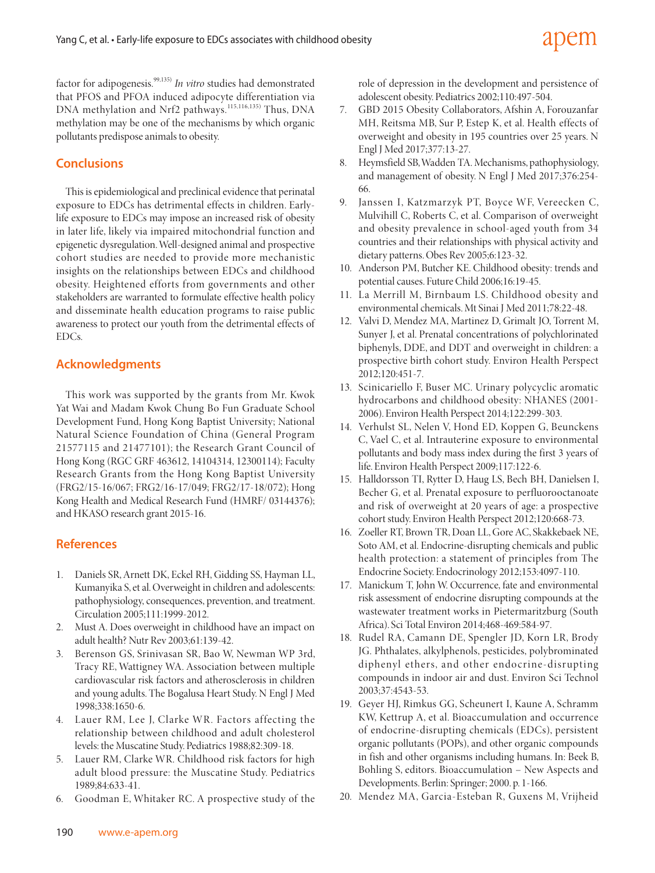factor for adipogenesis.99,135) *In vitro* studies had demonstrated that PFOS and PFOA induced adipocyte differentiation via DNA methylation and Nrf2 pathways.<sup>115,116,135)</sup> Thus, DNA methylation may be one of the mechanisms by which organic pollutants predispose animals to obesity.

# **Conclusions**

This is epidemiological and preclinical evidence that perinatal exposure to EDCs has detrimental effects in children. Earlylife exposure to EDCs may impose an increased risk of obesity in later life, likely via impaired mitochondrial function and epigenetic dysregulation. Well-designed animal and prospective cohort studies are needed to provide more mechanistic insights on the relationships between EDCs and childhood obesity. Heightened efforts from governments and other stakeholders are warranted to formulate effective health policy and disseminate health education programs to raise public awareness to protect our youth from the detrimental effects of EDCs.

## **Acknowledgments**

This work was supported by the grants from Mr. Kwok Yat Wai and Madam Kwok Chung Bo Fun Graduate School Development Fund, Hong Kong Baptist University; National Natural Science Foundation of China (General Program 21577115 and 21477101); the Research Grant Council of Hong Kong (RGC GRF 463612, 14104314, 12300114); Faculty Research Grants from the Hong Kong Baptist University (FRG2/15-16/067; FRG2/16-17/049; FRG2/17-18/072); Hong Kong Health and Medical Research Fund (HMRF/ 03144376); and HKASO research grant 2015-16.

## **References**

- 1. Daniels SR, Arnett DK, Eckel RH, Gidding SS, Hayman LL, Kumanyika S, et al. Overweight in children and adolescents: pathophysiology, consequences, prevention, and treatment. Circulation 2005;111:1999-2012.
- 2. Must A. Does overweight in childhood have an impact on adult health? Nutr Rev 2003;61:139-42.
- 3. Berenson GS, Srinivasan SR, Bao W, Newman WP 3rd, Tracy RE, Wattigney WA. Association between multiple cardiovascular risk factors and atherosclerosis in children and young adults. The Bogalusa Heart Study. N Engl J Med 1998;338:1650-6.
- 4. Lauer RM, Lee J, Clarke WR. Factors affecting the relationship between childhood and adult cholesterol levels: the Muscatine Study. Pediatrics 1988;82:309-18.
- 5. Lauer RM, Clarke WR. Childhood risk factors for high adult blood pressure: the Muscatine Study. Pediatrics 1989;84:633-41.
- 6. Goodman E, Whitaker RC. A prospective study of the

role of depression in the development and persistence of adolescent obesity. Pediatrics 2002;110:497-504.

- 7. GBD 2015 Obesity Collaborators, Afshin A, Forouzanfar MH, Reitsma MB, Sur P, Estep K, et al. Health effects of overweight and obesity in 195 countries over 25 years. N Engl J Med 2017;377:13-27.
- 8. Heymsfield SB, Wadden TA. Mechanisms, pathophysiology, and management of obesity. N Engl J Med 2017;376:254- 66.
- 9. Janssen I, Katzmarzyk PT, Boyce WF, Vereecken C, Mulvihill C, Roberts C, et al. Comparison of overweight and obesity prevalence in school-aged youth from 34 countries and their relationships with physical activity and dietary patterns. Obes Rev 2005;6:123-32.
- 10. Anderson PM, Butcher KE. Childhood obesity: trends and potential causes. Future Child 2006;16:19-45.
- 11. La Merrill M, Birnbaum LS. Childhood obesity and environmental chemicals. Mt Sinai J Med 2011;78:22-48.
- 12. Valvi D, Mendez MA, Martinez D, Grimalt JO, Torrent M, Sunyer J, et al. Prenatal concentrations of polychlorinated biphenyls, DDE, and DDT and overweight in children: a prospective birth cohort study. Environ Health Perspect 2012;120:451-7.
- 13. Scinicariello F, Buser MC. Urinary polycyclic aromatic hydrocarbons and childhood obesity: NHANES (2001- 2006). Environ Health Perspect 2014;122:299-303.
- 14. Verhulst SL, Nelen V, Hond ED, Koppen G, Beunckens C, Vael C, et al. Intrauterine exposure to environmental pollutants and body mass index during the first 3 years of life. Environ Health Perspect 2009;117:122-6.
- 15. Halldorsson TI, Rytter D, Haug LS, Bech BH, Danielsen I, Becher G, et al. Prenatal exposure to perfluorooctanoate and risk of overweight at 20 years of age: a prospective cohort study. Environ Health Perspect 2012;120:668-73.
- 16. Zoeller RT, Brown TR, Doan LL, Gore AC, Skakkebaek NE, Soto AM, et al. Endocrine-disrupting chemicals and public health protection: a statement of principles from The Endocrine Society. Endocrinology 2012;153:4097-110.
- 17. Manickum T, John W. Occurrence, fate and environmental risk assessment of endocrine disrupting compounds at the wastewater treatment works in Pietermaritzburg (South Africa). Sci Total Environ 2014;468-469:584-97.
- 18. Rudel RA, Camann DE, Spengler JD, Korn LR, Brody JG. Phthalates, alkylphenols, pesticides, polybrominated diphenyl ethers, and other endocrine-disrupting compounds in indoor air and dust. Environ Sci Technol 2003;37:4543-53.
- 19. Geyer HJ, Rimkus GG, Scheunert I, Kaune A, Schramm KW, Kettrup A, et al. Bioaccumulation and occurrence of endocrine-disrupting chemicals (EDCs), persistent organic pollutants (POPs), and other organic compounds in fish and other organisms including humans. In: Beek B, Bohling S, editors. Bioaccumulation – New Aspects and Developments. Berlin: Springer; 2000. p. 1-166.
- 20. Mendez MA, Garcia-Esteban R, Guxens M, Vrijheid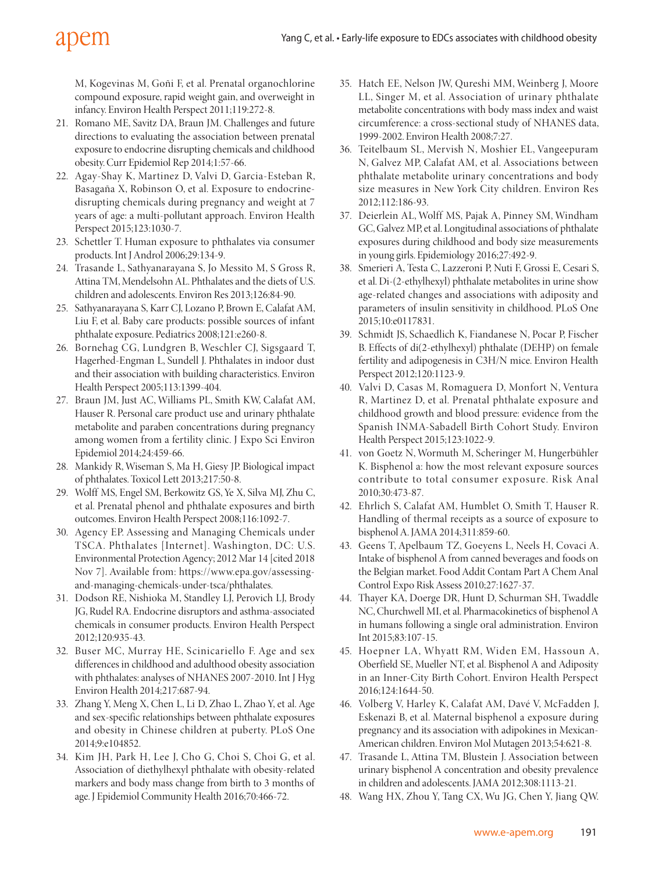M, Kogevinas M, Goñi F, et al. Prenatal organochlorine compound exposure, rapid weight gain, and overweight in infancy. Environ Health Perspect 2011;119:272-8.

- 21. Romano ME, Savitz DA, Braun JM. Challenges and future directions to evaluating the association between prenatal exposure to endocrine disrupting chemicals and childhood obesity. Curr Epidemiol Rep 2014;1:57-66.
- 22. Agay-Shay K, Martinez D, Valvi D, Garcia-Esteban R, Basagaña X, Robinson O, et al. Exposure to endocrinedisrupting chemicals during pregnancy and weight at 7 years of age: a multi-pollutant approach. Environ Health Perspect 2015;123:1030-7.
- 23. Schettler T. Human exposure to phthalates via consumer products. Int J Androl 2006;29:134-9.
- 24. Trasande L, Sathyanarayana S, Jo Messito M, S Gross R, Attina TM, Mendelsohn AL. Phthalates and the diets of U.S. children and adolescents. Environ Res 2013;126:84-90.
- 25. Sathyanarayana S, Karr CJ, Lozano P, Brown E, Calafat AM, Liu F, et al. Baby care products: possible sources of infant phthalate exposure. Pediatrics 2008;121:e260-8.
- 26. Bornehag CG, Lundgren B, Weschler CJ, Sigsgaard T, Hagerhed-Engman L, Sundell J. Phthalates in indoor dust and their association with building characteristics. Environ Health Perspect 2005;113:1399-404.
- 27. Braun JM, Just AC, Williams PL, Smith KW, Calafat AM, Hauser R. Personal care product use and urinary phthalate metabolite and paraben concentrations during pregnancy among women from a fertility clinic. J Expo Sci Environ Epidemiol 2014;24:459-66.
- 28. Mankidy R, Wiseman S, Ma H, Giesy JP. Biological impact of phthalates. Toxicol Lett 2013;217:50-8.
- 29. Wolff MS, Engel SM, Berkowitz GS, Ye X, Silva MJ, Zhu C, et al. Prenatal phenol and phthalate exposures and birth outcomes. Environ Health Perspect 2008;116:1092-7.
- 30. Agency EP. Assessing and Managing Chemicals under TSCA. Phthalates [Internet]. Washington, DC: U.S. Environmental Protection Agency; 2012 Mar 14 [cited 2018 Nov 7]. Available from: https://www.epa.gov/assessingand-managing-chemicals-under-tsca/phthalates.
- 31. Dodson RE, Nishioka M, Standley LJ, Perovich LJ, Brody JG, Rudel RA. Endocrine disruptors and asthma-associated chemicals in consumer products. Environ Health Perspect 2012;120:935-43.
- 32. Buser MC, Murray HE, Scinicariello F. Age and sex differences in childhood and adulthood obesity association with phthalates: analyses of NHANES 2007-2010. Int J Hyg Environ Health 2014;217:687-94.
- 33. Zhang Y, Meng X, Chen L, Li D, Zhao L, Zhao Y, et al. Age and sex-specific relationships between phthalate exposures and obesity in Chinese children at puberty. PLoS One 2014;9:e104852.
- 34. Kim JH, Park H, Lee J, Cho G, Choi S, Choi G, et al. Association of diethylhexyl phthalate with obesity-related markers and body mass change from birth to 3 months of age. J Epidemiol Community Health 2016;70:466-72.
- 35. Hatch EE, Nelson JW, Qureshi MM, Weinberg J, Moore LL, Singer M, et al. Association of urinary phthalate metabolite concentrations with body mass index and waist circumference: a cross-sectional study of NHANES data, 1999-2002. Environ Health 2008;7:27.
- 36. Teitelbaum SL, Mervish N, Moshier EL, Vangeepuram N, Galvez MP, Calafat AM, et al. Associations between phthalate metabolite urinary concentrations and body size measures in New York City children. Environ Res 2012;112:186-93.
- 37. Deierlein AL, Wolff MS, Pajak A, Pinney SM, Windham GC, Galvez MP, et al. Longitudinal associations of phthalate exposures during childhood and body size measurements in young girls. Epidemiology 2016;27:492-9.
- 38. Smerieri A, Testa C, Lazzeroni P, Nuti F, Grossi E, Cesari S, et al. Di-(2-ethylhexyl) phthalate metabolites in urine show age-related changes and associations with adiposity and parameters of insulin sensitivity in childhood. PLoS One 2015;10:e0117831.
- 39. Schmidt JS, Schaedlich K, Fiandanese N, Pocar P, Fischer B. Effects of di(2-ethylhexyl) phthalate (DEHP) on female fertility and adipogenesis in C3H/N mice. Environ Health Perspect 2012;120:1123-9.
- 40. Valvi D, Casas M, Romaguera D, Monfort N, Ventura R, Martinez D, et al. Prenatal phthalate exposure and childhood growth and blood pressure: evidence from the Spanish INMA-Sabadell Birth Cohort Study. Environ Health Perspect 2015;123:1022-9.
- 41. von Goetz N, Wormuth M, Scheringer M, Hungerbühler K. Bisphenol a: how the most relevant exposure sources contribute to total consumer exposure. Risk Anal 2010;30:473-87.
- 42. Ehrlich S, Calafat AM, Humblet O, Smith T, Hauser R. Handling of thermal receipts as a source of exposure to bisphenol A. JAMA 2014;311:859-60.
- 43. Geens T, Apelbaum TZ, Goeyens L, Neels H, Covaci A. Intake of bisphenol A from canned beverages and foods on the Belgian market. Food Addit Contam Part A Chem Anal Control Expo Risk Assess 2010;27:1627-37.
- 44. Thayer KA, Doerge DR, Hunt D, Schurman SH, Twaddle NC, Churchwell MI, et al. Pharmacokinetics of bisphenol A in humans following a single oral administration. Environ Int 2015;83:107-15.
- 45. Hoepner LA, Whyatt RM, Widen EM, Hassoun A, Oberfield SE, Mueller NT, et al. Bisphenol A and Adiposity in an Inner-City Birth Cohort. Environ Health Perspect 2016;124:1644-50.
- 46. Volberg V, Harley K, Calafat AM, Davé V, McFadden J, Eskenazi B, et al. Maternal bisphenol a exposure during pregnancy and its association with adipokines in Mexican-American children. Environ Mol Mutagen 2013;54:621-8.
- 47. Trasande L, Attina TM, Blustein J. Association between urinary bisphenol A concentration and obesity prevalence in children and adolescents. JAMA 2012;308:1113-21.
- 48. Wang HX, Zhou Y, Tang CX, Wu JG, Chen Y, Jiang QW.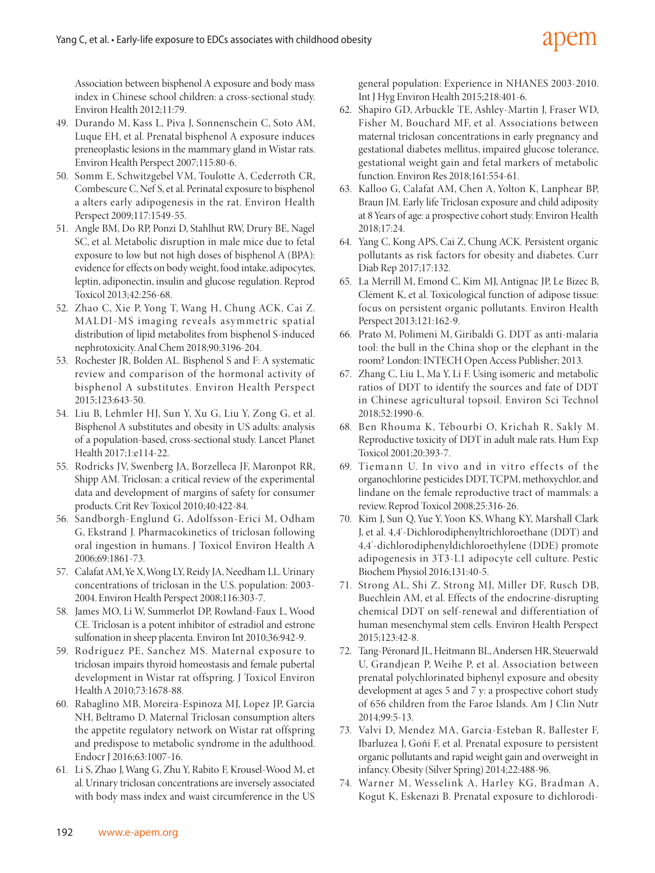Association between bisphenol A exposure and body mass index in Chinese school children: a cross-sectional study. Environ Health 2012;11:79.

- 49. Durando M, Kass L, Piva J, Sonnenschein C, Soto AM, Luque EH, et al. Prenatal bisphenol A exposure induces preneoplastic lesions in the mammary gland in Wistar rats. Environ Health Perspect 2007;115:80-6.
- 50. Somm E, Schwitzgebel VM, Toulotte A, Cederroth CR, Combescure C, Nef S, et al. Perinatal exposure to bisphenol a alters early adipogenesis in the rat. Environ Health Perspect 2009;117:1549-55.
- 51. Angle BM, Do RP, Ponzi D, Stahlhut RW, Drury BE, Nagel SC, et al. Metabolic disruption in male mice due to fetal exposure to low but not high doses of bisphenol A (BPA): evidence for effects on body weight, food intake, adipocytes, leptin, adiponectin, insulin and glucose regulation. Reprod Toxicol 2013;42:256-68.
- 52. Zhao C, Xie P, Yong T, Wang H, Chung ACK, Cai Z. MALDI-MS imaging reveals asymmetric spatial distribution of lipid metabolites from bisphenol S-induced nephrotoxicity. Anal Chem 2018;90:3196-204.
- 53. Rochester JR, Bolden AL. Bisphenol S and F: A systematic review and comparison of the hormonal activity of bisphenol A substitutes. Environ Health Perspect 2015;123:643-50.
- 54. Liu B, Lehmler HJ, Sun Y, Xu G, Liu Y, Zong G, et al. Bisphenol A substitutes and obesity in US adults: analysis of a population-based, cross-sectional study. Lancet Planet Health 2017;1:e114-22.
- 55. Rodricks JV, Swenberg JA, Borzelleca JF, Maronpot RR, Shipp AM. Triclosan: a critical review of the experimental data and development of margins of safety for consumer products. Crit Rev Toxicol 2010;40:422-84.
- 56. Sandborgh-Englund G, Adolfsson-Erici M, Odham G, Ekstrand J. Pharmacokinetics of triclosan following oral ingestion in humans. J Toxicol Environ Health A 2006;69:1861-73.
- 57. Calafat AM, Ye X, Wong LY, Reidy JA, Needham LL. Urinary concentrations of triclosan in the U.S. population: 2003- 2004. Environ Health Perspect 2008;116:303-7.
- 58. James MO, Li W, Summerlot DP, Rowland-Faux L, Wood CE. Triclosan is a potent inhibitor of estradiol and estrone sulfonation in sheep placenta. Environ Int 2010;36:942-9.
- 59. Rodríguez PE, Sanchez MS. Maternal exposure to triclosan impairs thyroid homeostasis and female pubertal development in Wistar rat offspring. J Toxicol Environ Health A 2010;73:1678-88.
- 60. Rabaglino MB, Moreira-Espinoza MJ, Lopez JP, Garcia NH, Beltramo D. Maternal Triclosan consumption alters the appetite regulatory network on Wistar rat offspring and predispose to metabolic syndrome in the adulthood. Endocr J 2016;63:1007-16.
- 61. Li S, Zhao J, Wang G, Zhu Y, Rabito F, Krousel-Wood M, et al. Urinary triclosan concentrations are inversely associated with body mass index and waist circumference in the US

general population: Experience in NHANES 2003-2010. Int J Hyg Environ Health 2015;218:401-6.

- 62. Shapiro GD, Arbuckle TE, Ashley-Martin J, Fraser WD, Fisher M, Bouchard MF, et al. Associations between maternal triclosan concentrations in early pregnancy and gestational diabetes mellitus, impaired glucose tolerance, gestational weight gain and fetal markers of metabolic function. Environ Res 2018;161:554-61.
- 63. Kalloo G, Calafat AM, Chen A, Yolton K, Lanphear BP, Braun JM. Early life Triclosan exposure and child adiposity at 8 Years of age: a prospective cohort study. Environ Health 2018;17:24.
- 64. Yang C, Kong APS, Cai Z, Chung ACK. Persistent organic pollutants as risk factors for obesity and diabetes. Curr Diab Rep 2017;17:132.
- 65. La Merrill M, Emond C, Kim MJ, Antignac JP, Le Bizec B, Clément K, et al. Toxicological function of adipose tissue: focus on persistent organic pollutants. Environ Health Perspect 2013;121:162-9.
- 66. Prato M, Polimeni M, Giribaldi G. DDT as anti-malaria tool: the bull in the China shop or the elephant in the room? London: INTECH Open Access Publisher; 2013.
- 67. Zhang C, Liu L, Ma Y, Li F. Using isomeric and metabolic ratios of DDT to identify the sources and fate of DDT in Chinese agricultural topsoil. Environ Sci Technol 2018;52:1990-6.
- 68. Ben Rhouma K, Tébourbi O, Krichah R, Sakly M. Reproductive toxicity of DDT in adult male rats. Hum Exp Toxicol 2001;20:393-7.
- 69. Tiemann U. In vivo and in vitro effects of the organochlorine pesticides DDT, TCPM, methoxychlor, and lindane on the female reproductive tract of mammals: a review. Reprod Toxicol 2008;25:316-26.
- 70. Kim J, Sun Q, Yue Y, Yoon KS, Whang KY, Marshall Clark J, et al. 4,4'-Dichlorodiphenyltrichloroethane (DDT) and 4,4'-dichlorodiphenyldichloroethylene (DDE) promote adipogenesis in 3T3-L1 adipocyte cell culture. Pestic Biochem Physiol 2016;131:40-5.
- 71. Strong AL, Shi Z, Strong MJ, Miller DF, Rusch DB, Buechlein AM, et al. Effects of the endocrine-disrupting chemical DDT on self-renewal and differentiation of human mesenchymal stem cells. Environ Health Perspect 2015;123:42-8.
- 72. Tang-Péronard JL, Heitmann BL, Andersen HR, Steuerwald U, Grandjean P, Weihe P, et al. Association between prenatal polychlorinated biphenyl exposure and obesity development at ages 5 and 7 y: a prospective cohort study of 656 children from the Faroe Islands. Am J Clin Nutr 2014;99:5-13.
- 73. Valvi D, Mendez MA, Garcia-Esteban R, Ballester F, Ibarluzea J, Goñi F, et al. Prenatal exposure to persistent organic pollutants and rapid weight gain and overweight in infancy. Obesity (Silver Spring) 2014;22:488-96.
- 74. Warner M, Wesselink A, Harley KG, Bradman A, Kogut K, Eskenazi B. Prenatal exposure to dichlorodi-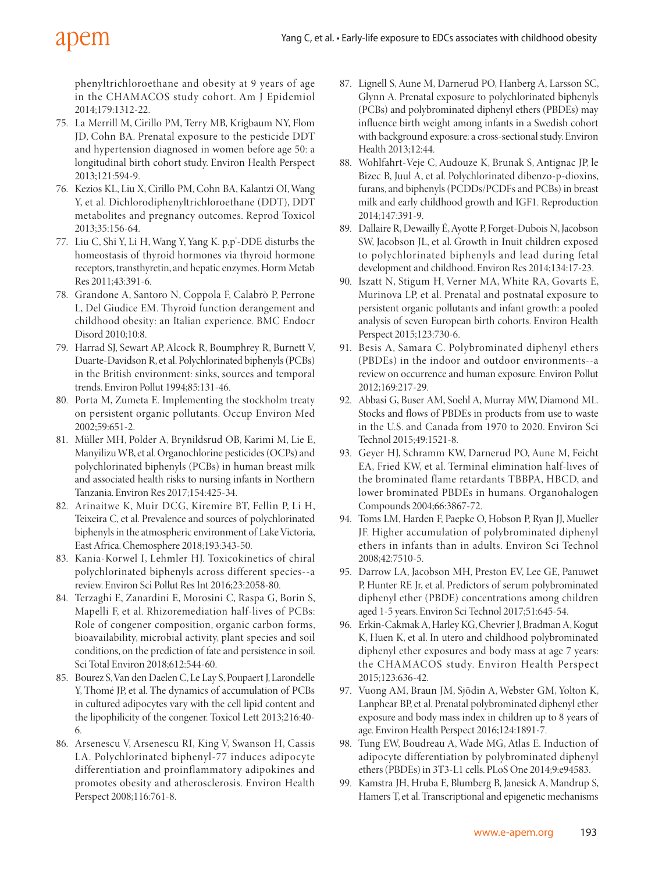# apem

phenyltrichloroethane and obesity at 9 years of age in the CHAMACOS study cohort. Am J Epidemiol 2014;179:1312-22.

- 75. La Merrill M, Cirillo PM, Terry MB, Krigbaum NY, Flom JD, Cohn BA. Prenatal exposure to the pesticide DDT and hypertension diagnosed in women before age 50: a longitudinal birth cohort study. Environ Health Perspect 2013;121:594-9.
- 76. Kezios KL, Liu X, Cirillo PM, Cohn BA, Kalantzi OI, Wang Y, et al. Dichlorodiphenyltrichloroethane (DDT), DDT metabolites and pregnancy outcomes. Reprod Toxicol 2013;35:156-64.
- 77. Liu C, Shi Y, Li H, Wang Y, Yang K. p,p'-DDE disturbs the homeostasis of thyroid hormones via thyroid hormone receptors, transthyretin, and hepatic enzymes. Horm Metab Res 2011;43:391-6.
- 78. Grandone A, Santoro N, Coppola F, Calabrò P, Perrone L, Del Giudice EM. Thyroid function derangement and childhood obesity: an Italian experience. BMC Endocr Disord 2010;10:8.
- 79. Harrad SJ, Sewart AP, Alcock R, Boumphrey R, Burnett V, Duarte-Davidson R, et al. Polychlorinated biphenyls (PCBs) in the British environment: sinks, sources and temporal trends. Environ Pollut 1994;85:131-46.
- 80. Porta M, Zumeta E. Implementing the stockholm treaty on persistent organic pollutants. Occup Environ Med 2002;59:651-2.
- 81. Müller MH, Polder A, Brynildsrud OB, Karimi M, Lie E, Manyilizu WB, et al. Organochlorine pesticides (OCPs) and polychlorinated biphenyls (PCBs) in human breast milk and associated health risks to nursing infants in Northern Tanzania. Environ Res 2017;154:425-34.
- 82. Arinaitwe K, Muir DCG, Kiremire BT, Fellin P, Li H, Teixeira C, et al. Prevalence and sources of polychlorinated biphenyls in the atmospheric environment of Lake Victoria, East Africa. Chemosphere 2018;193:343-50.
- 83. Kania-Korwel I, Lehmler HJ. Toxicokinetics of chiral polychlorinated biphenyls across different species--a review. Environ Sci Pollut Res Int 2016;23:2058-80.
- 84. Terzaghi E, Zanardini E, Morosini C, Raspa G, Borin S, Mapelli F, et al. Rhizoremediation half-lives of PCBs: Role of congener composition, organic carbon forms, bioavailability, microbial activity, plant species and soil conditions, on the prediction of fate and persistence in soil. Sci Total Environ 2018;612:544-60.
- 85. Bourez S, Van den Daelen C, Le Lay S, Poupaert J, Larondelle Y, Thomé JP, et al. The dynamics of accumulation of PCBs in cultured adipocytes vary with the cell lipid content and the lipophilicity of the congener. Toxicol Lett 2013;216:40- 6.
- 86. Arsenescu V, Arsenescu RI, King V, Swanson H, Cassis LA. Polychlorinated biphenyl-77 induces adipocyte differentiation and proinflammatory adipokines and promotes obesity and atherosclerosis. Environ Health Perspect 2008;116:761-8.
- 87. Lignell S, Aune M, Darnerud PO, Hanberg A, Larsson SC, Glynn A. Prenatal exposure to polychlorinated biphenyls (PCBs) and polybrominated diphenyl ethers (PBDEs) may influence birth weight among infants in a Swedish cohort with background exposure: a cross-sectional study. Environ Health 2013;12:44.
- 88. Wohlfahrt-Veje C, Audouze K, Brunak S, Antignac JP, le Bizec B, Juul A, et al. Polychlorinated dibenzo-p-dioxins, furans, and biphenyls (PCDDs/PCDFs and PCBs) in breast milk and early childhood growth and IGF1. Reproduction 2014;147:391-9.
- 89. Dallaire R, Dewailly É, Ayotte P, Forget-Dubois N, Jacobson SW, Jacobson JL, et al. Growth in Inuit children exposed to polychlorinated biphenyls and lead during fetal development and childhood. Environ Res 2014;134:17-23.
- 90. Iszatt N, Stigum H, Verner MA, White RA, Govarts E, Murinova LP, et al. Prenatal and postnatal exposure to persistent organic pollutants and infant growth: a pooled analysis of seven European birth cohorts. Environ Health Perspect 2015;123:730-6.
- 91. Besis A, Samara C. Polybrominated diphenyl ethers (PBDEs) in the indoor and outdoor environments--a review on occurrence and human exposure. Environ Pollut 2012;169:217-29.
- 92. Abbasi G, Buser AM, Soehl A, Murray MW, Diamond ML. Stocks and flows of PBDEs in products from use to waste in the U.S. and Canada from 1970 to 2020. Environ Sci Technol 2015;49:1521-8.
- 93. Geyer HJ, Schramm KW, Darnerud PO, Aune M, Feicht EA, Fried KW, et al. Terminal elimination half-lives of the brominated flame retardants TBBPA, HBCD, and lower brominated PBDEs in humans. Organohalogen Compounds 2004;66:3867-72.
- 94. Toms LM, Harden F, Paepke O, Hobson P, Ryan JJ, Mueller JF. Higher accumulation of polybrominated diphenyl ethers in infants than in adults. Environ Sci Technol 2008;42:7510-5.
- 95. Darrow LA, Jacobson MH, Preston EV, Lee GE, Panuwet P, Hunter RE Jr, et al. Predictors of serum polybrominated diphenyl ether (PBDE) concentrations among children aged 1-5 years. Environ Sci Technol 2017;51:645-54.
- 96. Erkin-Cakmak A, Harley KG, Chevrier J, Bradman A, Kogut K, Huen K, et al. In utero and childhood polybrominated diphenyl ether exposures and body mass at age 7 years: the CHAMACOS study. Environ Health Perspect 2015;123:636-42.
- 97. Vuong AM, Braun JM, Sjödin A, Webster GM, Yolton K, Lanphear BP, et al. Prenatal polybrominated diphenyl ether exposure and body mass index in children up to 8 years of age. Environ Health Perspect 2016;124:1891-7.
- 98. Tung EW, Boudreau A, Wade MG, Atlas E. Induction of adipocyte differentiation by polybrominated diphenyl ethers (PBDEs) in 3T3-L1 cells. PLoS One 2014;9:e94583.
- 99. Kamstra JH, Hruba E, Blumberg B, Janesick A, Mandrup S, Hamers T, et al. Transcriptional and epigenetic mechanisms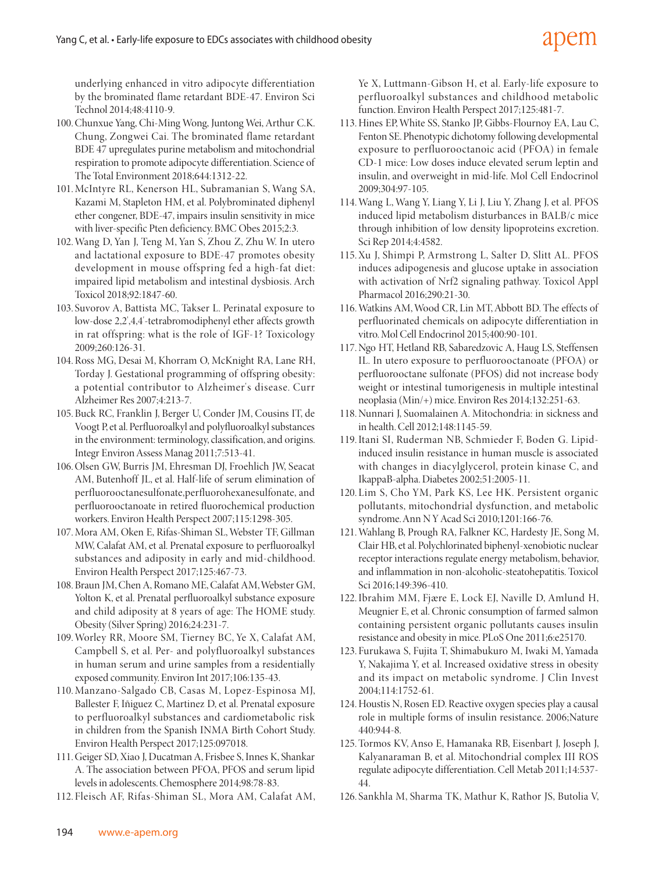underlying enhanced in vitro adipocyte differentiation by the brominated flame retardant BDE-47. Environ Sci Technol 2014;48:4110-9.

- 100.Chunxue Yang, Chi-Ming Wong, Juntong Wei, Arthur C.K. Chung, Zongwei Cai. The brominated flame retardant BDE 47 upregulates purine metabolism and mitochondrial respiration to promote adipocyte differentiation. Science of The Total Environment 2018;644:1312-22.
- 101.McIntyre RL, Kenerson HL, Subramanian S, Wang SA, Kazami M, Stapleton HM, et al. Polybrominated diphenyl ether congener, BDE-47, impairs insulin sensitivity in mice with liver-specific Pten deficiency. BMC Obes 2015;2:3.
- 102.Wang D, Yan J, Teng M, Yan S, Zhou Z, Zhu W. In utero and lactational exposure to BDE-47 promotes obesity development in mouse offspring fed a high-fat diet: impaired lipid metabolism and intestinal dysbiosis. Arch Toxicol 2018;92:1847-60.
- 103. Suvorov A, Battista MC, Takser L. Perinatal exposure to low-dose 2,2',4,4'-tetrabromodiphenyl ether affects growth in rat offspring: what is the role of IGF-1? Toxicology 2009;260:126-31.
- 104.Ross MG, Desai M, Khorram O, McKnight RA, Lane RH, Torday J. Gestational programming of offspring obesity: a potential contributor to Alzheimer's disease. Curr Alzheimer Res 2007;4:213-7.
- 105.Buck RC, Franklin J, Berger U, Conder JM, Cousins IT, de Voogt P, et al. Perfluoroalkyl and polyfluoroalkyl substances in the environment: terminology, classification, and origins. Integr Environ Assess Manag 2011;7:513-41.
- 106.Olsen GW, Burris JM, Ehresman DJ, Froehlich JW, Seacat AM, Butenhoff JL, et al. Half-life of serum elimination of perfluorooctanesulfonate,perfluorohexanesulfonate, and perfluorooctanoate in retired fluorochemical production workers. Environ Health Perspect 2007;115:1298-305.
- 107.Mora AM, Oken E, Rifas-Shiman SL, Webster TF, Gillman MW, Calafat AM, et al. Prenatal exposure to perfluoroalkyl substances and adiposity in early and mid-childhood. Environ Health Perspect 2017;125:467-73.
- 108.Braun JM, Chen A, Romano ME, Calafat AM, Webster GM, Yolton K, et al. Prenatal perfluoroalkyl substance exposure and child adiposity at 8 years of age: The HOME study. Obesity (Silver Spring) 2016;24:231-7.
- 109.Worley RR, Moore SM, Tierney BC, Ye X, Calafat AM, Campbell S, et al. Per- and polyfluoroalkyl substances in human serum and urine samples from a residentially exposed community. Environ Int 2017;106:135-43.
- 110.Manzano-Salgado CB, Casas M, Lopez-Espinosa MJ, Ballester F, Iñiguez C, Martinez D, et al. Prenatal exposure to perfluoroalkyl substances and cardiometabolic risk in children from the Spanish INMA Birth Cohort Study. Environ Health Perspect 2017;125:097018.
- 111.Geiger SD, Xiao J, Ducatman A, Frisbee S, Innes K, Shankar A. The association between PFOA, PFOS and serum lipid levels in adolescents. Chemosphere 2014;98:78-83.
- 112. Fleisch AF, Rifas-Shiman SL, Mora AM, Calafat AM,

Ye X, Luttmann-Gibson H, et al. Early-life exposure to perfluoroalkyl substances and childhood metabolic function. Environ Health Perspect 2017;125:481-7.

- 113.Hines EP, White SS, Stanko JP, Gibbs-Flournoy EA, Lau C, Fenton SE. Phenotypic dichotomy following developmental exposure to perfluorooctanoic acid (PFOA) in female CD-1 mice: Low doses induce elevated serum leptin and insulin, and overweight in mid-life. Mol Cell Endocrinol 2009;304:97-105.
- 114.Wang L, Wang Y, Liang Y, Li J, Liu Y, Zhang J, et al. PFOS induced lipid metabolism disturbances in BALB/c mice through inhibition of low density lipoproteins excretion. Sci Rep 2014;4:4582.
- 115.Xu J, Shimpi P, Armstrong L, Salter D, Slitt AL. PFOS induces adipogenesis and glucose uptake in association with activation of Nrf2 signaling pathway. Toxicol Appl Pharmacol 2016;290:21-30.
- 116.Watkins AM, Wood CR, Lin MT, Abbott BD. The effects of perfluorinated chemicals on adipocyte differentiation in vitro. Mol Cell Endocrinol 2015;400:90-101.
- 117.Ngo HT, Hetland RB, Sabaredzovic A, Haug LS, Steffensen IL. In utero exposure to perfluorooctanoate (PFOA) or perfluorooctane sulfonate (PFOS) did not increase body weight or intestinal tumorigenesis in multiple intestinal neoplasia (Min/+) mice. Environ Res 2014;132:251-63.
- 118.Nunnari J, Suomalainen A. Mitochondria: in sickness and in health. Cell 2012;148:1145-59.
- 119.Itani SI, Ruderman NB, Schmieder F, Boden G. Lipidinduced insulin resistance in human muscle is associated with changes in diacylglycerol, protein kinase C, and IkappaB-alpha. Diabetes 2002;51:2005-11.
- 120. Lim S, Cho YM, Park KS, Lee HK. Persistent organic pollutants, mitochondrial dysfunction, and metabolic syndrome. Ann N Y Acad Sci 2010;1201:166-76.
- 121.Wahlang B, Prough RA, Falkner KC, Hardesty JE, Song M, Clair HB, et al. Polychlorinated biphenyl-xenobiotic nuclear receptor interactions regulate energy metabolism, behavior, and inflammation in non-alcoholic-steatohepatitis. Toxicol Sci 2016;149:396-410.
- 122.Ibrahim MM, Fjære E, Lock EJ, Naville D, Amlund H, Meugnier E, et al. Chronic consumption of farmed salmon containing persistent organic pollutants causes insulin resistance and obesity in mice. PLoS One 2011;6:e25170.
- 123. Furukawa S, Fujita T, Shimabukuro M, Iwaki M, Yamada Y, Nakajima Y, et al. Increased oxidative stress in obesity and its impact on metabolic syndrome. J Clin Invest 2004;114:1752-61.
- 124.Houstis N, Rosen ED. Reactive oxygen species play a causal role in multiple forms of insulin resistance. 2006;Nature 440:944-8.
- 125.Tormos KV, Anso E, Hamanaka RB, Eisenbart J, Joseph J, Kalyanaraman B, et al. Mitochondrial complex III ROS regulate adipocyte differentiation. Cell Metab 2011;14:537- 44.
- 126. Sankhla M, Sharma TK, Mathur K, Rathor JS, Butolia V,